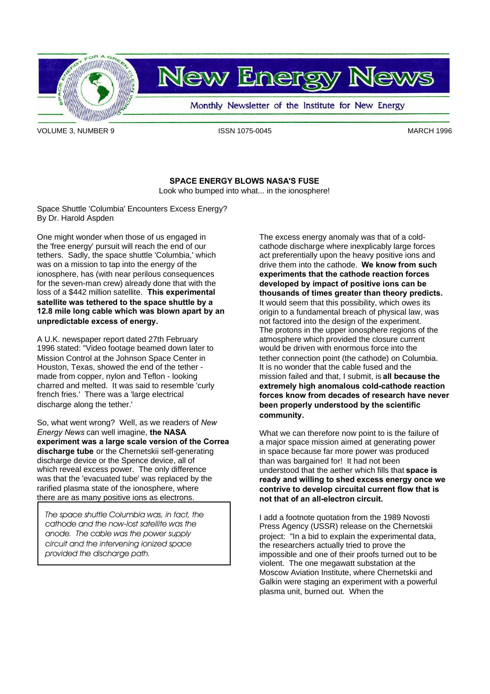



Monthly Newsletter of the Institute for New Energy

VOLUME 3, NUMBER 9 ISSN 1075-0045 MARCH 1996

#### **SPACE ENERGY BLOWS NASA'S FUSE**

Look who bumped into what... in the ionosphere!

Space Shuttle 'Columbia' Encounters Excess Energy? By Dr. Harold Aspden

One might wonder when those of us engaged in the 'free energy' pursuit will reach the end of our tethers. Sadly, the space shuttle 'Columbia,' which was on a mission to tap into the energy of the ionosphere, has (with near perilous consequences for the seven-man crew) already done that with the loss of a \$442 million satellite. **This experimental satellite was tethered to the space shuttle by a 12.8 mile long cable which was blown apart by an unpredictable excess of energy.**

A U.K. newspaper report dated 27th February 1996 stated: "Video footage beamed down later to Mission Control at the Johnson Space Center in Houston, Texas, showed the end of the tether made from copper, nylon and Teflon - looking charred and melted. It was said to resemble 'curly french fries.' There was a 'large electrical discharge along the tether.'

So, what went wrong? Well, as we readers of *New Energy News* can well imagine, **the NASA experiment was a large scale version of the Correa discharge tube** or the Chernetskii self-generating discharge device or the Spence device, all of which reveal excess power. The only difference was that the 'evacuated tube' was replaced by the rarified plasma state of the ionosphere, where there are as many positive ions as electrons.

*The space shuttle Columbia was, in fact, the cathode and the now-lost satellite was the anode. The cable was the power supply circuit and the intervening ionized space provided the discharge path.*

The excess energy anomaly was that of a coldcathode discharge where inexplicably large forces act preferentially upon the heavy positive ions and drive them into the cathode. **We know from such experiments that the cathode reaction forces developed by impact of positive ions can be thousands of times greater than theory predicts.** It would seem that this possibility, which owes its origin to a fundamental breach of physical law, was not factored into the design of the experiment. The protons in the upper ionosphere regions of the atmosphere which provided the closure current would be driven with enormous force into the tether connection point (the cathode) on Columbia. It is no wonder that the cable fused and the mission failed and that, I submit, is **all because the extremely high anomalous cold-cathode reaction forces know from decades of research have never been properly understood by the scientific community.**

What we can therefore now point to is the failure of a major space mission aimed at generating power in space because far more power was produced than was bargained for! It had not been understood that the aether which fills that **space is ready and willing to shed excess energy once we contrive to develop circuital current flow that is not that of an all-electron circuit.**

I add a footnote quotation from the 1989 Novosti Press Agency (USSR) release on the Chernetskii project: "In a bid to explain the experimental data, the researchers actually tried to prove the impossible and one of their proofs turned out to be violent. The one megawatt substation at the Moscow Aviation Institute, where Chernetskii and Galkin were staging an experiment with a powerful plasma unit, burned out. When the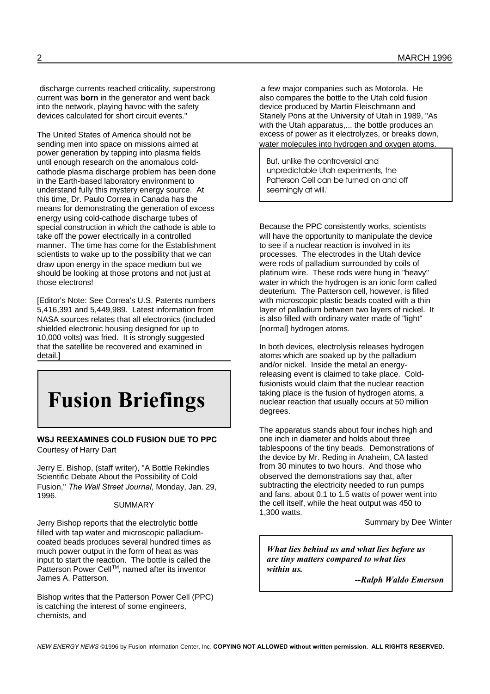discharge currents reached criticality, superstrong current was **born** in the generator and went back into the network, playing havoc with the safety devices calculated for short circuit events."

The United States of America should not be sending men into space on missions aimed at power generation by tapping into plasma fields until enough research on the anomalous coldcathode plasma discharge problem has been done in the Earth-based laboratory environment to understand fully this mystery energy source. At this time, Dr. Paulo Correa in Canada has the means for demonstrating the generation of excess energy using cold-cathode discharge tubes of special construction in which the cathode is able to take off the power electrically in a controlled manner. The time has come for the Establishment scientists to wake up to the possibility that we can draw upon energy in the space medium but we should be looking at those protons and not just at those electrons!

[Editor's Note: See Correa's U.S. Patents numbers 5,416,391 and 5,449,989. Latest information from NASA sources relates that all electronics (included shielded electronic housing designed for up to 10,000 volts) was fried. It is strongly suggested that the satellite be recovered and examined in detail.]

# **Fusion Briefings**

#### **WSJ REEXAMINES COLD FUSION DUE TO PPC** Courtesy of Harry Dart

Jerry E. Bishop, (staff writer), "A Bottle Rekindles Scientific Debate About the Possibility of Cold Fusion," *The Wall Street Journal*, Monday, Jan. 29, 1996.

#### SUMMARY

Jerry Bishop reports that the electrolytic bottle filled with tap water and microscopic palladiumcoated beads produces several hundred times as much power output in the form of heat as was input to start the reaction. The bottle is called the Patterson Power CellTM, named after its inventor James A. Patterson.

Bishop writes that the Patterson Power Cell (PPC) is catching the interest of some engineers, chemists, and

a few major companies such as Motorola. He also compares the bottle to the Utah cold fusion device produced by Martin Fleischmann and Stanely Pons at the University of Utah in 1989, "As with the Utah apparatus,... the bottle produces an excess of power as it electrolyzes, or breaks down, water molecules into hydrogen and oxygen atoms.

But, unlike the controversial and unpredictable Utah experiments, the Patterson Cell can be turned on and off seemingly at will."

Because the PPC consistently works, scientists will have the opportunity to manipulate the device to see if a nuclear reaction is involved in its processes. The electrodes in the Utah device were rods of palladium surrounded by coils of platinum wire. These rods were hung in "heavy" water in which the hydrogen is an ionic form called deuterium. The Patterson cell, however, is filled with microscopic plastic beads coated with a thin layer of palladium between two layers of nickel. It is also filled with ordinary water made of "light" [normal] hydrogen atoms.

In both devices, electrolysis releases hydrogen atoms which are soaked up by the palladium and/or nickel. Inside the metal an energyreleasing event is claimed to take place. Coldfusionists would claim that the nuclear reaction taking place is the fusion of hydrogen atoms, a nuclear reaction that usually occurs at 50 million degrees.

The apparatus stands about four inches high and one inch in diameter and holds about three tablespoons of the tiny beads. Demonstrations of the device by Mr. Reding in Anaheim, CA lasted from 30 minutes to two hours. And those who observed the demonstrations say that, after subtracting the electricity needed to run pumps and fans, about 0.1 to 1.5 watts of power went into the cell itself, while the heat output was 450 to 1,300 watts.

Summary by Dee Winter

*What lies behind us and what lies before us are tiny matters compared to what lies within us.*

*--Ralph Waldo Emerson*

*NEW ENERGY NEWS* ©1996 by Fusion Information Center, Inc. **COPYING NOT ALLOWED without written permission. ALL RIGHTS RESERVED.**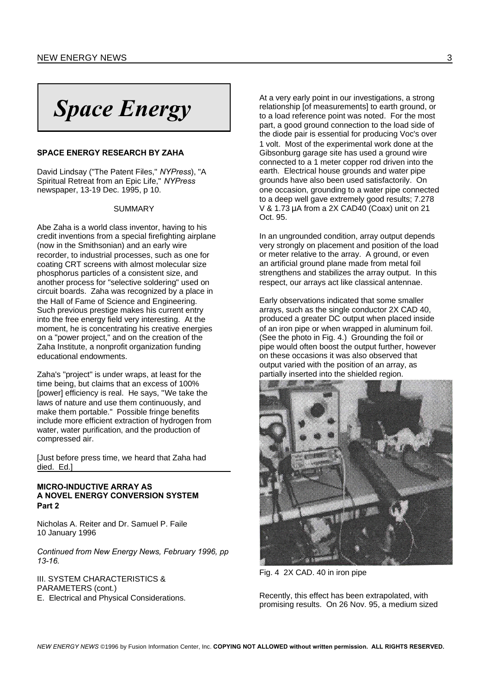# *Space Energy*

#### **SPACE ENERGY RESEARCH BY ZAHA**

David Lindsay ("The Patent Files," *NYPress*), "A Spiritual Retreat from an Epic Life," *NYPress* newspaper, 13-19 Dec. 1995, p 10.

#### SUMMARY

Abe Zaha is a world class inventor, having to his credit inventions from a special firefighting airplane (now in the Smithsonian) and an early wire recorder, to industrial processes, such as one for coating CRT screens with almost molecular size phosphorus particles of a consistent size, and another process for "selective soldering" used on circuit boards. Zaha was recognized by a place in the Hall of Fame of Science and Engineering. Such previous prestige makes his current entry into the free energy field very interesting. At the moment, he is concentrating his creative energies on a "power project," and on the creation of the Zaha Institute, a nonprofit organization funding educational endowments.

Zaha's "project" is under wraps, at least for the time being, but claims that an excess of 100% [power] efficiency is real. He says, "We take the laws of nature and use them continuously, and make them portable." Possible fringe benefits include more efficient extraction of hydrogen from water, water purification, and the production of compressed air.

[Just before press time, we heard that Zaha had died. Ed.]

#### **MICRO-INDUCTIVE ARRAY AS A NOVEL ENERGY CONVERSION SYSTEM Part 2**

Nicholas A. Reiter and Dr. Samuel P. Faile 10 January 1996

*Continued from New Energy News, February 1996, pp 13-16.*

III. SYSTEM CHARACTERISTICS & PARAMETERS (cont.)

E. Electrical and Physical Considerations.

At a very early point in our investigations, a strong relationship [of measurements] to earth ground, or to a load reference point was noted. For the most part, a good ground connection to the load side of the diode pair is essential for producing Voc's over 1 volt. Most of the experimental work done at the Gibsonburg garage site has used a ground wire connected to a 1 meter copper rod driven into the earth. Electrical house grounds and water pipe grounds have also been used satisfactorily. On one occasion, grounding to a water pipe connected to a deep well gave extremely good results; 7.278 V & 1.73  $\mu$ A from a 2X CAD40 (Coax) unit on 21 Oct. 95.

In an ungrounded condition, array output depends very strongly on placement and position of the load or meter relative to the array. A ground, or even an artificial ground plane made from metal foil strengthens and stabilizes the array output. In this respect, our arrays act like classical antennae.

Early observations indicated that some smaller arrays, such as the single conductor 2X CAD 40, produced a greater DC output when placed inside of an iron pipe or when wrapped in aluminum foil. (See the photo in Fig. 4.) Grounding the foil or pipe would often boost the output further, however on these occasions it was also observed that output varied with the position of an array, as partially inserted into the shielded region.



Fig. 4 2X CAD. 40 in iron pipe

Recently, this effect has been extrapolated, with promising results. On 26 Nov. 95, a medium sized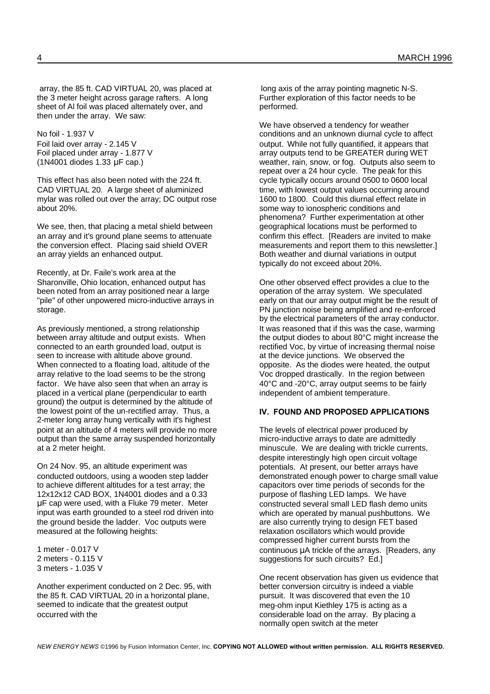array, the 85 ft. CAD VIRTUAL 20, was placed at the 3 meter height across garage rafters. A long sheet of Al foil was placed alternately over, and then under the array. We saw:

No foil - 1.937 V Foil laid over array - 2.145 V Foil placed under array - 1.877 V  $(1N4001$  diodes 1.33  $\mu$ F cap.)

This effect has also been noted with the 224 ft. CAD VIRTUAL 20. A large sheet of aluminized mylar was rolled out over the array; DC output rose about 20%.

We see, then, that placing a metal shield between an array and it's ground plane seems to attenuate the conversion effect. Placing said shield OVER an array yields an enhanced output.

Recently, at Dr. Faile's work area at the Sharonville, Ohio location, enhanced output has been noted from an array positioned near a large "pile" of other unpowered micro-inductive arrays in storage.

As previously mentioned, a strong relationship between array altitude and output exists. When connected to an earth grounded load, output is seen to increase with altitude above ground. When connected to a floating load, altitude of the array relative to the load seems to be the strong factor. We have also seen that when an array is placed in a vertical plane (perpendicular to earth ground) the output is determined by the altitude of the lowest point of the un-rectified array. Thus, a 2-meter long array hung vertically with it's highest point at an altitude of 4 meters will provide no more output than the same array suspended horizontally at a 2 meter height.

On 24 Nov. 95, an altitude experiment was conducted outdoors, using a wooden step ladder to achieve different altitudes for a test array; the 12x12x12 CAD BOX, 1N4001 diodes and a 0.33 F cap were used, with a Fluke 79 meter. Meter input was earth grounded to a steel rod driven into the ground beside the ladder. Voc outputs were measured at the following heights:

1 meter - 0.017 V 2 meters - 0.115 V 3 meters - 1.035 V

Another experiment conducted on 2 Dec. 95, with the 85 ft. CAD VIRTUAL 20 in a horizontal plane, seemed to indicate that the greatest output occurred with the

long axis of the array pointing magnetic N-S. Further exploration of this factor needs to be performed.

We have observed a tendency for weather conditions and an unknown diurnal cycle to affect output. While not fully quantified, it appears that array outputs tend to be GREATER during WET weather, rain, snow, or fog. Outputs also seem to repeat over a 24 hour cycle. The peak for this cycle typically occurs around 0500 to 0600 local time, with lowest output values occurring around 1600 to 1800. Could this diurnal effect relate in some way to ionospheric conditions and phenomena? Further experimentation at other geographical locations must be performed to confirm this effect. [Readers are invited to make measurements and report them to this newsletter.] Both weather and diurnal variations in output typically do not exceed about 20%.

One other observed effect provides a clue to the operation of the array system. We speculated early on that our array output might be the result of PN junction noise being amplified and re-enforced by the electrical parameters of the array conductor. It was reasoned that if this was the case, warming the output diodes to about 80°C might increase the rectified Voc, by virtue of increasing thermal noise at the device junctions. We observed the opposite. As the diodes were heated, the output Voc dropped drastically. In the region between 40°C and -20°C, array output seems to be fairly independent of ambient temperature.

#### **IV. FOUND AND PROPOSED APPLICATIONS**

The levels of electrical power produced by micro-inductive arrays to date are admittedly minuscule. We are dealing with trickle currents, despite interestingly high open circuit voltage potentials. At present, our better arrays have demonstrated enough power to charge small value capacitors over time periods of seconds for the purpose of flashing LED lamps. We have constructed several small LED flash demo units which are operated by manual pushbuttons. We are also currently trying to design FET based relaxation oscillators which would provide compressed higher current bursts from the continuous µA trickle of the arrays. [Readers, any suggestions for such circuits? Ed.]

One recent observation has given us evidence that better conversion circuitry is indeed a viable pursuit. lt was discovered that even the 10 meg-ohm input Kiethley 175 is acting as a considerable load on the array. By placing a normally open switch at the meter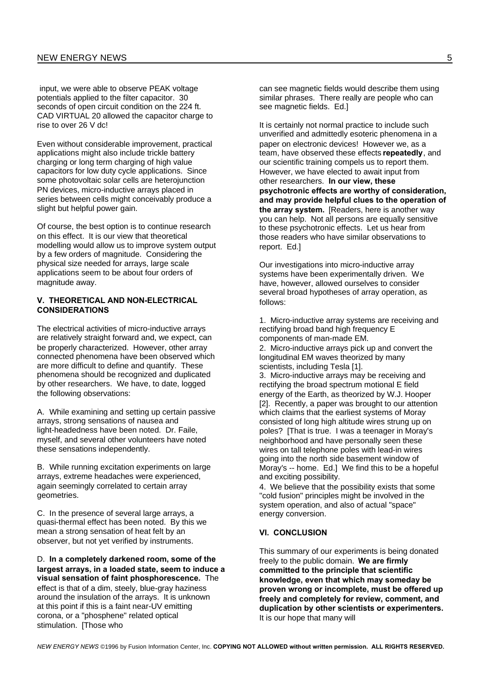input, we were able to observe PEAK voltage potentials applied to the filter capacitor. 30 seconds of open circuit condition on the 224 ft. CAD VIRTUAL 20 allowed the capacitor charge to rise to over 26 V dc!

Even without considerable improvement, practical applications might also include trickle battery charging or long term charging of high value capacitors for low duty cycle applications. Since some photovoltaic solar cells are heterojunction PN devices, micro-inductive arrays placed in series between cells might conceivably produce a slight but helpful power gain.

Of course, the best option is to continue research on this effect. It is our view that theoretical modelling would allow us to improve system output by a few orders of magnitude. Considering the physical size needed for arrays, large scale applications seem to be about four orders of magnitude away.

#### **V. THEORETICAL AND NON-ELECTRICAL CONSIDERATIONS**

The electrical activities of micro-inductive arrays are relatively straight forward and, we expect, can be properly characterized. However, other array connected phenomena have been observed which are more difficult to define and quantify. These phenomena should be recognized and duplicated by other researchers. We have, to date, logged the following observations:

A. While examining and setting up certain passive arrays, strong sensations of nausea and light-headedness have been noted. Dr. Faile, myself, and several other volunteers have noted these sensations independently.

B. While running excitation experiments on large arrays, extreme headaches were experienced, again seemingly correlated to certain array geometries.

C. In the presence of several large arrays, a quasi-thermal effect has been noted. By this we mean a strong sensation of heat felt by an observer, but not yet verified by instruments.

D. **In a completely darkened room, some of the largest arrays, in a loaded state, seem to induce a visual sensation of faint phosphorescence.** The effect is that of a dim, steely, blue-gray haziness around the insulation of the arrays. It is unknown at this point if this is a faint near-UV emitting corona, or a "phosphene" related optical stimulation. [Those who

can see magnetic fields would describe them using similar phrases. There really are people who can see magnetic fields. Ed.1

It is certainly not normal practice to include such unverified and admittedly esoteric phenomena in a paper on electronic devices! However we, as a team, have observed these effects **repeatedly**, and our scientific training compels us to report them. However, we have elected to await input from other researchers. **In our view, these psychotronic effects are worthy of consideration, and may provide helpful clues to the operation of the array system.** [Readers, here is another way you can help. Not all persons are equally sensitive to these psychotronic effects. Let us hear from those readers who have similar observations to report. Ed.]

Our investigations into micro-inductive array systems have been experimentally driven. We have, however, allowed ourselves to consider several broad hypotheses of array operation, as follows:

1. Micro-inductive array systems are receiving and rectifying broad band high frequency E components of man-made EM. 2. Micro-inductive arrays pick up and convert the longitudinal EM waves theorized by many scientists, including Tesla [1]. 3. Micro-inductive arrays may be receiving and rectifying the broad spectrum motional E field energy of the Earth, as theorized by W.J. Hooper [2]. Recently, a paper was brought to our attention which claims that the earliest systems of Moray consisted of long high altitude wires strung up on poles? [That is true. I was a teenager in Moray's neighborhood and have personally seen these wires on tall telephone poles with lead-in wires going into the north side basement window of

Moray's -- home. Ed.] We find this to be a hopeful and exciting possibility. 4. We believe that the possibility exists that some "cold fusion" principles might be involved in the system operation, and also of actual "space"

#### **VI. CONCLUSION**

energy conversion.

This summary of our experiments is being donated freely to the public domain. **We are firmly committed to the principle that scientific knowledge, even that which may someday be proven wrong or incomplete, must be offered up freely and completely for review, comment, and duplication by other scientists or experimenters.** It is our hope that many will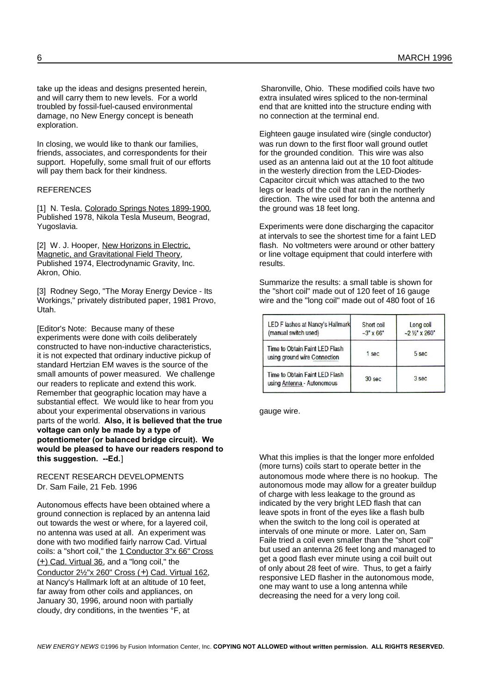take up the ideas and designs presented herein, and will carry them to new levels. For a world troubled by fossil-fuel-caused environmental damage, no New Energy concept is beneath exploration.

In closing, we would like to thank our families, friends, associates, and correspondents for their support. Hopefully, some small fruit of our efforts will pay them back for their kindness.

#### **REFERENCES**

[1] N. Tesla, Colorado Springs Notes 1899-1900, Published 1978, Nikola Tesla Museum, Beograd, Yugoslavia.

[2] W. J. Hooper, New Horizons in Electric. Magnetic, and Gravitational Field Theory, Published 1974, Electrodynamic Gravity, Inc. Akron, Ohio.

[3] Rodney Sego, "The Moray Energy Device - Its Workings," privately distributed paper, 1981 Provo, Utah.

[Editor's Note: Because many of these experiments were done with coils deliberately constructed to have non-inductive characteristics, it is not expected that ordinary inductive pickup of standard Hertzian EM waves is the source of the small amounts of power measured. We challenge our readers to replicate and extend this work. Remember that geographic location may have a substantial effect. We would like to hear from you about your experimental observations in various parts of the world. **Also, it is believed that the true voltage can only be made by a type of potentiometer (or balanced bridge circuit). We would be pleased to have our readers respond to this suggestion. --Ed.**]

RECENT RESEARCH DEVELOPMENTS Dr. Sam Faile, 21 Feb. 1996

Autonomous effects have been obtained where a ground connection is replaced by an antenna laid out towards the west or where, for a layered coil, no antenna was used at all. An experiment was done with two modified fairly narrow Cad. Virtual coils: a "short coil," the 1 Conductor 3"x 66" Cross (+) Cad. Virtual 36, and a "long coil," the Conductor 2½"x 260" Cross (+) Cad. Virtual 162, at Nancy's Hallmark loft at an altitude of 10 feet, far away from other coils and appliances, on January 30, 1996, around noon with partially cloudy, dry conditions, in the twenties °F, at

Sharonville, Ohio. These modified coils have two extra insulated wires spliced to the non-terminal end that are knitted into the structure ending with no connection at the terminal end.

Eighteen gauge insulated wire (single conductor) was run down to the first floor wall ground outlet for the grounded condition. This wire was also used as an antenna laid out at the 10 foot altitude in the westerly direction from the LED-Diodes-Capacitor circuit which was attached to the two legs or leads of the coil that ran in the northerly direction. The wire used for both the antenna and the ground was 18 feet long.

Experiments were done discharging the capacitor at intervals to see the shortest time for a faint LED flash. No voltmeters were around or other battery or line voltage equipment that could interfere with results.

Summarize the results: a small table is shown for the "short coil" made out of 120 feet of 16 gauge wire and the "long coil" made out of 480 foot of 16

| LED F lashes at Nancy's Hallmark<br>(manual switch used)       | Short coil<br>$-3''$ x 66" | Long coil<br>$-2\frac{1}{2}$ x 260" |
|----------------------------------------------------------------|----------------------------|-------------------------------------|
| Time to Obtain Faint LED Flash<br>using ground wire Connection | 1 sec                      | 5 sec                               |
| Time to Obtain Faint LED Flash<br>using Antenna - Autonomous   | 30 sec                     | 3 sec                               |

gauge wire.

What this implies is that the longer more enfolded (more turns) coils start to operate better in the autonomous mode where there is no hookup. The autonomous mode may allow for a greater buildup of charge with less leakage to the ground as indicated by the very bright LED flash that can leave spots in front of the eyes like a flash bulb when the switch to the long coil is operated at intervals of one minute or more. Later on, Sam Faile tried a coil even smaller than the "short coil" but used an antenna 26 feet long and managed to get a good flash ever minute using a coil built out of only about 28 feet of wire. Thus, to get a fairly responsive LED flasher in the autonomous mode, one may want to use a long antenna while decreasing the need for a very long coil.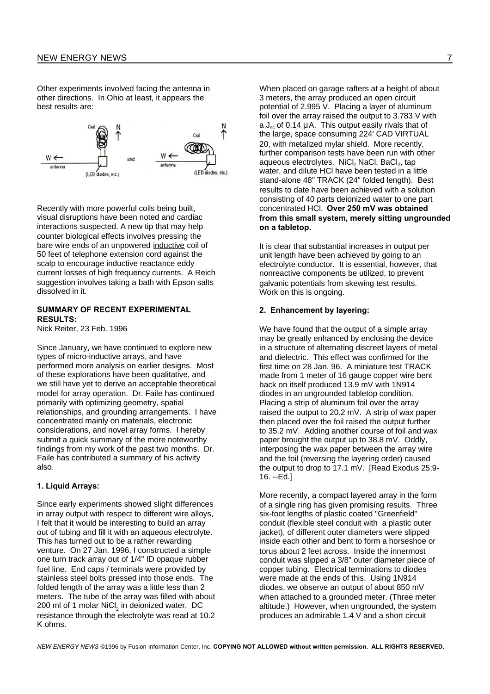Other experiments involved facing the antenna in other directions. In Ohio at least, it appears the best results are:



Recently with more powerful coils being built, visual disruptions have been noted and cardiac interactions suspected. A new tip that may help counter biological effects involves pressing the bare wire ends of an unpowered inductive coil of 50 feet of telephone extension cord against the scalp to encourage inductive reactance eddy current losses of high frequency currents. A Reich suggestion involves taking a bath with Epson salts dissolved in it.

#### **SUMMARY OF RECENT EXPERIMENTAL RESULTS:**

Nick Reiter, 23 Feb. 1996

Since January, we have continued to explore new types of micro-inductive arrays, and have performed more analysis on earlier designs. Most of these explorations have been qualitative, and we still have yet to derive an acceptable theoretical model for array operation. Dr. Faile has continued primarily with optimizing geometry, spatial relationships, and grounding arrangements. I have concentrated mainly on materials, electronic considerations, and novel array forms. I hereby submit a quick summary of the more noteworthy findings from my work of the past two months. Dr. Faile has contributed a summary of his activity also.

#### **1. Liquid Arrays:**

Since early experiments showed slight differences in array output with respect to different wire alloys. I felt that it would be interesting to build an array out of tubing and fill it with an aqueous electrolyte. This has turned out to be a rather rewarding venture. On 27 Jan. 1996, I constructed a simple one turn track array out of 1/4" ID opaque rubber fuel line. End caps / terminals were provided by stainless steel bolts pressed into those ends. The folded length of the array was a little less than 2 meters. The tube of the array was filled with about 200 ml of 1 molar NiCl<sub>2</sub> in deionized water. DC resistance through the electrolyte was read at 10.2 K ohms.

When placed on garage rafters at a height of about 3 meters, the array produced an open circuit potential of 2.995 V. Placing a layer of aluminum foil over the array raised the output to 3.783 V with a  $J_{\infty}$  of 0.14  $\mu$ A. This output easily rivals that of the large, space consuming 224' CAD VIRTUAL 20, with metalized mylar shield. More recently, further comparison tests have been run with other aqueous electrolytes. NiCl<sub>2</sub> NaCl, BaCl<sub>2</sub>, tap water, and dilute HCl have been tested in a little stand-alone 48" TRACK (24" folded length). Best results to date have been achieved with a solution consisting of 40 parts deionized water to one part concentrated HCl. **Over 250 mV was obtained from this small system, merely sitting ungrounded on a tabletop.**

It is clear that substantial increases in output per unit length have been achieved by going to an electrolyte conductor. It is essential, however, that nonreactive components be utilized, to prevent galvanic potentials from skewing test results. Work on this is ongoing.

#### **2. Enhancement by layering:**

We have found that the output of a simple array may be greatly enhanced by enclosing the device in a structure of alternating discreet layers of metal and dielectric. This effect was confirmed for the first time on 28 Jan. 96. A miniature test TRACK made from 1 meter of 16 gauge copper wire bent back on itself produced 13.9 mV with 1N914 diodes in an ungrounded tabletop condition. Placing a strip of aluminum foil over the array raised the output to 20.2 mV. A strip of wax paper then placed over the foil raised the output further to 35.2 mV. Adding another course of foil and wax paper brought the output up to 38.8 mV. Oddly, interposing the wax paper between the array wire and the foil (reversing the layering order) caused the output to drop to 17.1 mV. [Read Exodus 25:9- 16. --Ed.]

More recently, a compact layered array in the form of a single ring has given promising results. Three six-foot lengths of plastic coated "Greenfield" conduit (flexible steel conduit with a plastic outer jacket), of different outer diameters were slipped inside each other and bent to form a horseshoe or torus about 2 feet across. Inside the innermost conduit was slipped a 3/8" outer diameter piece of copper tubing. Electrical terminations to diodes were made at the ends of this. Using 1N914 diodes, we observe an output of about 850 mV when attached to a grounded meter. (Three meter altitude.) However, when ungrounded, the system produces an admirable 1.4 V and a short circuit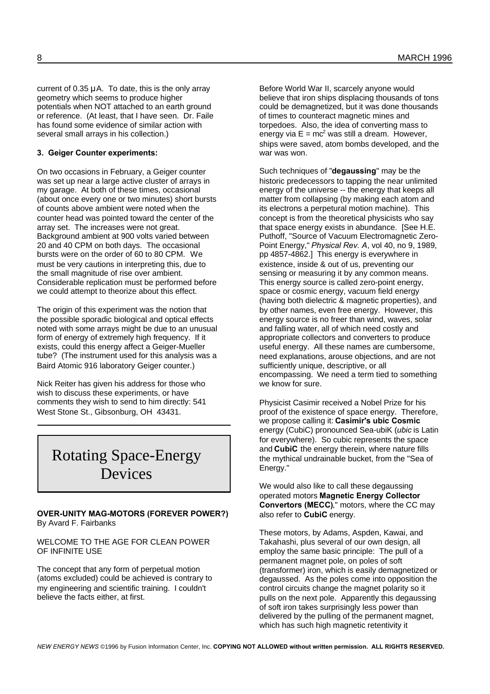current of  $0.35$   $\mu$ A. To date, this is the only array geometry which seems to produce higher potentials when NOT attached to an earth ground or reference. (At least, that I have seen. Dr. Faile has found some evidence of similar action with several small arrays in his collection.)

#### **3. Geiger Counter experiments:**

On two occasions in February, a Geiger counter was set up near a large active cluster of arrays in my garage. At both of these times, occasional (about once every one or two minutes) short bursts of counts above ambient were noted when the counter head was pointed toward the center of the array set. The increases were not great. Background ambient at 900 volts varied between 20 and 40 CPM on both days. The occasional bursts were on the order of 60 to 80 CPM. We must be very cautions in interpreting this, due to the small magnitude of rise over ambient. Considerable replication must be performed before we could attempt to theorize about this effect.

The origin of this experiment was the notion that the possible sporadic biological and optical effects noted with some arrays might be due to an unusual form of energy of extremely high frequency. If it exists, could this energy affect a Geiger-Mueller tube? (The instrument used for this analysis was a Baird Atomic 916 laboratory Geiger counter.)

Nick Reiter has given his address for those who wish to discuss these experiments, or have comments they wish to send to him directly: 541 West Stone St., Gibsonburg, OH 43431.

## Rotating Space-Energy Devices

#### **OVER-UNITY MAG-MOTORS (FOREVER POWER?)** By Avard F. Fairbanks

WELCOME TO THE AGE FOR CLEAN POWER OF INFINITE USE

The concept that any form of perpetual motion (atoms excluded) could be achieved is contrary to my engineering and scientific training. I couldn't believe the facts either, at first.

Before World War II, scarcely anyone would believe that iron ships displacing thousands of tons could be demagnetized, but it was done thousands of times to counteract magnetic mines and torpedoes. Also, the idea of converting mass to energy via  $E = mc^2$  was still a dream. However, ships were saved, atom bombs developed, and the war was won.

Such techniques of "**degaussing**" may be the historic predecessors to tapping the near unlimited energy of the universe -- the energy that keeps all matter from collapsing (by making each atom and its electrons a perpetural motion machine). This concept is from the theoretical physicists who say that space energy exists in abundance. [See H.E. Puthoff, "Source of Vacuum Electromagnetic Zero-Point Energy," *Physical Rev. A*, vol 40, no 9, 1989, pp 4857-4862.] This energy is everywhere in existence, inside & out of us, preventing our sensing or measuring it by any common means. This energy source is called zero-point energy, space or cosmic energy, vacuum field energy (having both dielectric & magnetic properties), and by other names, even free energy. However, this energy source is no freer than wind, waves, solar and falling water, all of which need costly and appropriate collectors and converters to produce useful energy. All these names are cumbersome, need explanations, arouse objections, and are not sufficiently unique, descriptive, or all encompassing. We need a term tied to something we know for sure.

Physicist Casimir received a Nobel Prize for his proof of the existence of space energy. Therefore, we propose calling it: **Casimir's ubic Cosmic** energy (CubiC) pronounced Sea-ubiK (*ubic* is Latin for everywhere). So cubic represents the space and **CubiC** the energy therein, where nature fills the mythical undrainable bucket, from the "Sea of Energy."

We would also like to call these degaussing operated motors **Magnetic Energy Collector Convertors (MECC)**," motors, where the CC may also refer to **CubiC** energy.

These motors, by Adams, Aspden, Kawai, and Takahashi, plus several of our own design, all employ the same basic principle: The pull of a permanent magnet pole, on poles of soft (transformer) iron, which is easily demagnetized or degaussed. As the poles come into opposition the control circuits change the magnet polarity so it pulls on the next pole. Apparently this degaussing of soft iron takes surprisingly less power than delivered by the pulling of the permanent magnet, which has such high magnetic retentivity it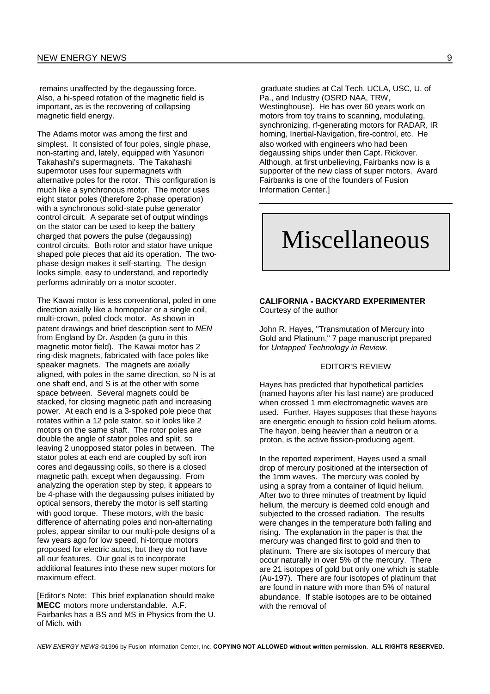remains unaffected by the degaussing force. Also, a hi-speed rotation of the magnetic field is important, as is the recovering of collapsing magnetic field energy.

The Adams motor was among the first and simplest. It consisted of four poles, single phase, non-starting and, lately, equipped with Yasunori Takahashi's supermagnets. The Takahashi supermotor uses four supermagnets with alternative poles for the rotor. This configuration is much like a synchronous motor. The motor uses eight stator poles (therefore 2-phase operation) with a synchronous solid-state pulse generator control circuit. A separate set of output windings on the stator can be used to keep the battery charged that powers the pulse (degaussing) control circuits. Both rotor and stator have unique shaped pole pieces that aid its operation. The twophase design makes it self-starting. The design looks simple, easy to understand, and reportedly performs admirably on a motor scooter.

The Kawai motor is less conventional, poled in one direction axially like a homopolar or a single coil, multi-crown, poled clock motor. As shown in patent drawings and brief description sent to *NEN* from England by Dr. Aspden (a guru in this magnetic motor field). The Kawai motor has 2 ring-disk magnets, fabricated with face poles like speaker magnets. The magnets are axially aligned, with poles in the same direction, so N is at one shaft end, and S is at the other with some space between. Several magnets could be stacked, for closing magnetic path and increasing power. At each end is a 3-spoked pole piece that rotates within a 12 pole stator, so it looks like 2 motors on the same shaft. The rotor poles are double the angle of stator poles and split, so leaving 2 unopposed stator poles in between. The stator poles at each end are coupled by soft iron cores and degaussing coils, so there is a closed magnetic path, except when degaussing. From analyzing the operation step by step, it appears to be 4-phase with the degaussing pulses initiated by optical sensors, thereby the motor is self starting with good torque. These motors, with the basic difference of alternating poles and non-alternating poles, appear similar to our multi-pole designs of a few years ago for low speed, hi-torque motors proposed for electric autos, but they do not have all our features. Our goal is to incorporate additional features into these new super motors for maximum effect.

[Editor's Note: This brief explanation should make **MECC** motors more understandable. A.F. Fairbanks has a BS and MS in Physics from the U. of Mich. with

graduate studies at Cal Tech, UCLA, USC, U. of Pa., and Industry (OSRD NAA, TRW, Westinghouse). He has over 60 years work on motors from toy trains to scanning, modulating, synchronizing, rf-generating motors for RADAR, IR homing, Inertial-Navigation, fire-control, etc. He also worked with engineers who had been degaussing ships under then Capt. Rickover. Although, at first unbelieving, Fairbanks now is a supporter of the new class of super motors. Avard Fairbanks is one of the founders of Fusion Information Center.]

# Miscellaneous

#### **CALIFORNIA - BACKYARD EXPERIMENTER** Courtesy of the author

John R. Hayes, "Transmutation of Mercury into Gold and Platinum," 7 page manuscript prepared for *Untapped Technology in Review.*

#### EDITOR'S REVIEW

Hayes has predicted that hypothetical particles (named hayons after his last name) are produced when crossed 1 mm electromagnetic waves are used. Further, Hayes supposes that these hayons are energetic enough to fission cold helium atoms. The hayon, being heavier than a neutron or a proton, is the active fission-producing agent.

In the reported experiment, Hayes used a small drop of mercury positioned at the intersection of the 1mm waves. The mercury was cooled by using a spray from a container of liquid helium. After two to three minutes of treatment by liquid helium, the mercury is deemed cold enough and subjected to the crossed radiation. The results were changes in the temperature both falling and rising. The explanation in the paper is that the mercury was changed first to gold and then to platinum. There are six isotopes of mercury that occur naturally in over 5% of the mercury. There are 21 isotopes of gold but only one which is stable (Au-197). There are four isotopes of platinum that are found in nature with more than 5% of natural abundance. If stable isotopes are to be obtained with the removal of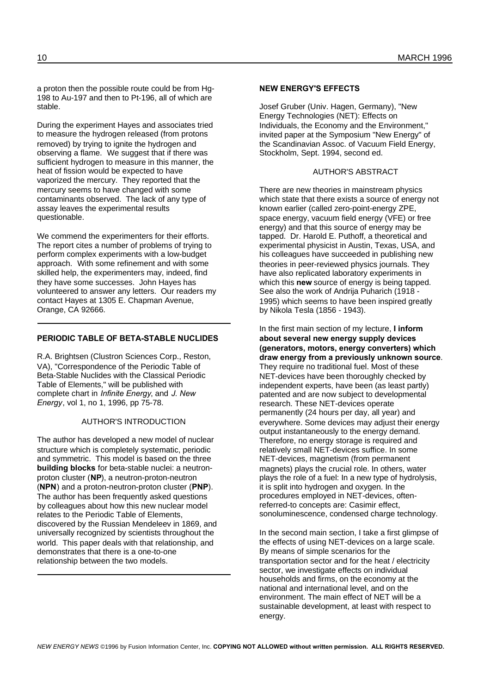a proton then the possible route could be from Hg-198 to Au-197 and then to Pt-196, all of which are stable.

During the experiment Hayes and associates tried to measure the hydrogen released (from protons removed) by trying to ignite the hydrogen and observing a flame. We suggest that if there was sufficient hydrogen to measure in this manner, the heat of fission would be expected to have vaporized the mercury. They reported that the mercury seems to have changed with some contaminants observed. The lack of any type of assay leaves the experimental results questionable.

We commend the experimenters for their efforts. The report cites a number of problems of trying to perform complex experiments with a low-budget approach. With some refinement and with some skilled help, the experimenters may, indeed, find they have some successes. John Hayes has volunteered to answer any letters. Our readers my contact Hayes at 1305 E. Chapman Avenue, Orange, CA 92666.

#### **PERIODIC TABLE OF BETA-STABLE NUCLIDES**

R.A. Brightsen (Clustron Sciences Corp., Reston, VA), "Correspondence of the Periodic Table of Beta-Stable Nuclides with the Classical Periodic Table of Elements," will be published with complete chart in *Infinite Energy*, and *J. New Energy*, vol 1, no 1, 1996, pp 75-78.

#### AUTHOR'S INTRODUCTION

The author has developed a new model of nuclear structure which is completely systematic, periodic and symmetric. This model is based on the three **building blocks** for beta-stable nuclei: a neutronproton cluster (**NP**), a neutron-proton-neutron (**NPN**) and a proton-neutron-proton cluster (**PNP**). The author has been frequently asked questions by colleagues about how this new nuclear model relates to the Periodic Table of Elements, discovered by the Russian Mendeleev in 1869, and universally recognized by scientists throughout the world. This paper deals with that relationship, and demonstrates that there is a one-to-one relationship between the two models.

#### **NEW ENERGY'S EFFECTS**

Josef Gruber (Univ. Hagen, Germany), "New Energy Technologies (NET): Effects on Individuals, the Economy and the Environment," invited paper at the Symposium "New Energy" of the Scandinavian Assoc. of Vacuum Field Energy, Stockholm, Sept. 1994, second ed.

#### AUTHOR'S ABSTRACT

There are new theories in mainstream physics which state that there exists a source of energy not known earlier (called zero-point-energy ZPE, space energy, vacuum field energy (VFE) or free energy) and that this source of energy may be tapped. Dr. Harold E. Puthoff, a theoretical and experimental physicist in Austin, Texas, USA, and his colleagues have succeeded in publishing new theories in peer-reviewed physics journals. They have also replicated laboratory experiments in which this **new** source of energy is being tapped. See also the work of Andrija Puharich (1918 - 1995) which seems to have been inspired greatly by Nikola Tesla (1856 - 1943).

In the first main section of my lecture, **I inform about several new energy supply devices (generators, motors, energy converters) which draw energy from a previously unknown source**. They require no traditional fuel. Most of these NET-devices have been thoroughly checked by independent experts, have been (as least partly) patented and are now subject to developmental research. These NET-devices operate permanently (24 hours per day, all year) and everywhere. Some devices may adjust their energy output instantaneously to the energy demand. Therefore, no energy storage is required and relatively small NET-devices suffice. In some NET-devices, magnetism (from permanent magnets) plays the crucial role. In others, water plays the role of a fuel: In a new type of hydrolysis, it is split into hydrogen and oxygen. In the procedures employed in NET-devices, oftenreferred-to concepts are: Casimir effect, sonoluminescence, condensed charge technology.

In the second main section, I take a first glimpse of the effects of using NET-devices on a large scale. By means of simple scenarios for the transportation sector and for the heat / electricity sector, we investigate effects on individual households and firms, on the economy at the national and international level, and on the environment. The main effect of NET will be a sustainable development, at least with respect to energy.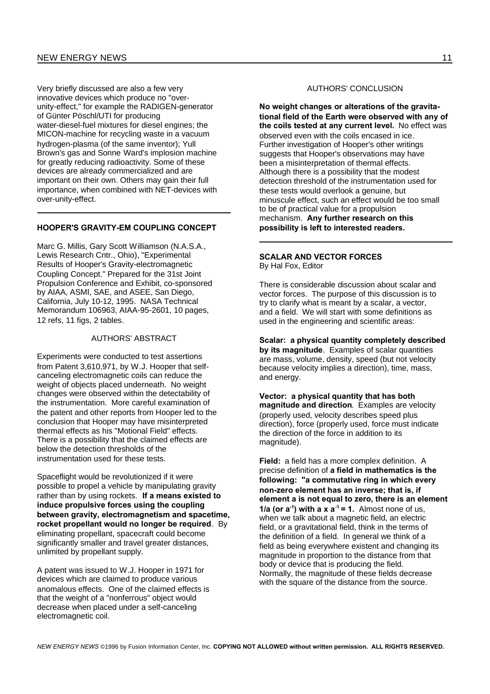Very briefly discussed are also a few very innovative devices which produce no "overunity-effect," for example the RADIGEN-generator of Günter Pöschl/UTI for producing water-diesel-fuel mixtures for diesel engines; the MICON-machine for recycling waste in a vacuum hydrogen-plasma (of the same inventor); Yull Brown's gas and Sonne Ward's implosion machine for greatly reducing radioactivity. Some of these devices are already commercialized and are important on their own. Others may gain their full importance, when combined with NET-devices with over-unity-effect.

#### **HOOPER'S GRAVITY-EM COUPLING CONCEPT**

Marc G. Millis, Gary Scott Williamson (N.A.S.A., Lewis Research Cntr., Ohio), "Experimental Results of Hooper's Gravity-electromagnetic Coupling Concept." Prepared for the 31st Joint Propulsion Conference and Exhibit, co-sponsored by AIAA, ASMI, SAE, and ASEE, San Diego, California, July 10-12, 1995. NASA Technical Memorandum 106963, AIAA-95-2601, 10 pages, 12 refs, 11 figs, 2 tables.

#### AUTHORS' ABSTRACT

Experiments were conducted to test assertions from Patent 3,610,971, by W.J. Hooper that selfcanceling electromagnetic coils can reduce the weight of objects placed underneath. No weight changes were observed within the detectability of the instrumentation. More careful examination of the patent and other reports from Hooper led to the conclusion that Hooper may have misinterpreted thermal effects as his "Motional Field" effects. There is a possibility that the claimed effects are below the detection thresholds of the instrumentation used for these tests.

Spaceflight would be revolutionized if it were possible to propel a vehicle by manipulating gravity rather than by using rockets. **If a means existed to induce propulsive forces using the coupling between gravity, electromagnetism and spacetime, rocket propellant would no longer be required**. By eliminating propellant, spacecraft could become significantly smaller and travel greater distances, unlimited by propellant supply.

A patent was issued to W.J. Hooper in 1971 for devices which are claimed to produce various anomalous effects. One of the claimed effects is that the weight of a "nonferrous" object would decrease when placed under a self-canceling electromagnetic coil.

#### AUTHORS' CONCLUSION

**No weight changes or alterations of the gravitational field of the Earth were observed with any of the coils tested at any current level.** No effect was observed even with the coils encased in ice. Further investigation of Hooper's other writings suggests that Hooper's observations may have been a misinterpretation of thermal effects. Although there is a possibility that the modest detection threshold of the instrumentation used for these tests would overlook a genuine, but minuscule effect, such an effect would be too small to be of practical value for a propulsion mechanism. **Any further research on this possibility is left to interested readers.**

### **SCALAR AND VECTOR FORCES**

By Hal Fox, Editor

There is considerable discussion about scalar and vector forces. The purpose of this discussion is to try to clarify what is meant by a scalar, a vector, and a field. We will start with some definitions as used in the engineering and scientific areas:

**Scalar: a physical quantity completely described by its magnitude**. Examples of scalar quantities are mass, volume, density, speed (but not velocity because velocity implies a direction), time, mass, and energy.

**Vector: a physical quantity that has both magnitude and direction**. Examples are velocity (properly used, velocity describes speed plus direction), force (properly used, force must indicate the direction of the force in addition to its magnitude).

**Field:** a field has a more complex definition. A precise definition of **a field in mathematics is the following: "a commutative ring in which every non-zero element has an inverse; that is, if element a is not equal to zero, there is an element 1/a (or a<sup>-1</sup>) with a x**  $a^{-1} = 1$ **.** Almost none of us, when we talk about a magnetic field, an electric field, or a gravitational field, think in the terms of the definition of a field. In general we think of a field as being everywhere existent and changing its magnitude in proportion to the distance from that body or device that is producing the field. Normally, the magnitude of these fields decrease with the square of the distance from the source.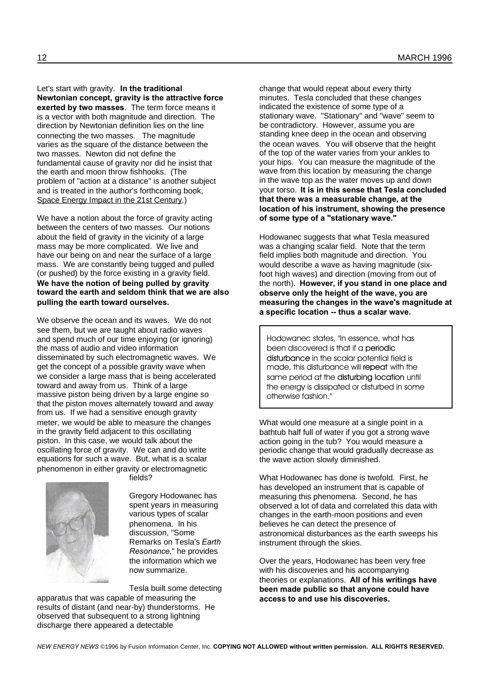Let's start with gravity. **In the traditional Newtonian concept, gravity is the attractive force exerted by two masses**. The term force means it is a vector with both magnitude and direction. The direction by Newtonian definition lies on the line connecting the two masses. The magnitude varies as the square of the distance between the two masses. Newton did not define the fundamental cause of gravity nor did he insist that the earth and moon throw fishhooks. (The problem of "action at a distance" is another subject and is treated in the author's forthcoming book, Space Energy Impact in the 21st Century.)

We have a notion about the force of gravity acting between the centers of two masses. Our notions about the field of gravity in the vicinity of a large mass may be more complicated. We live and have our being on and near the surface of a large mass. We are constantly being tugged and pulled (or pushed) by the force existing in a gravity field. **We have the notion of being pulled by gravity toward the earth and seldom think that we are also pulling the earth toward ourselves.**

We observe the ocean and its waves. We do not see them, but we are taught about radio waves and spend much of our time enjoying (or ignoring) the mass of audio and video information disseminated by such electromagnetic waves. We get the concept of a possible gravity wave when we consider a large mass that is being accelerated toward and away from us. Think of a large massive piston being driven by a large engine so that the piston moves alternately toward and away from us. If we had a sensitive enough gravity meter, we would be able to measure the changes in the gravity field adjacent to this oscillating piston. In this case, we would talk about the oscillating force of gravity. We can and do write equations for such a wave. But, what is a scalar phenomenon in either gravity or electromagnetic



fields?

Gregory Hodowanec has spent years in measuring various types of scalar phenomena. In his discussion, "Some Remarks on Tesla's *Earth Resonance*," he provides the information which we now summarize.

Tesla built some detecting

apparatus that was capable of measuring the results of distant (and near-by) thunderstorms. He observed that subsequent to a strong lightning discharge there appeared a detectable

change that would repeat about every thirty minutes. Tesla concluded that these changes indicated the existence of some type of a stationary wave. "Stationary" and "wave" seem to be contradictory. However, assume you are standing knee deep in the ocean and observing the ocean waves. You will observe that the height of the top of the water varies from your ankles to your hips. You can measure the magnitude of the wave from this location by measuring the change in the wave top as the water moves up and down your torso. **It is in this sense that Tesla concluded that there was a measurable change, at the location of his instrument, showing the presence of some type of a "stationary wave."**

Hodowanec suggests that what Tesla measured was a changing scalar field. Note that the term field implies both magnitude and direction. You would describe a wave as having magnitude (sixfoot high waves) and direction (moving from out of the north). **However, if you stand in one place and observe only the height of the wave, you are measuring the changes in the wave's magnitude at a specific location -- thus a scalar wave.**

Hodowanec states, "In essence, what has been discovered is that if a periodic disturbance in the scalar potential field is made, this disturbance will repeat with the same period at the disturbing location until the energy is dissipated or disturbed in some otherwise fashion."

What would one measure at a single point in a bathtub half full of water if you got a strong wave action going in the tub? You would measure a periodic change that would gradually decrease as the wave action slowly diminished.

What Hodowanec has done is twofold. First, he has developed an instrument that is capable of measuring this phenomena. Second, he has observed a lot of data and correlated this data with changes in the earth-moon positions and even believes he can detect the presence of astronomical disturbances as the earth sweeps his instrument through the skies.

Over the years, Hodowanec has been very free with his discoveries and his accompanying theories or explanations. **All of his writings have been made public so that anyone could have access to and use his discoveries.**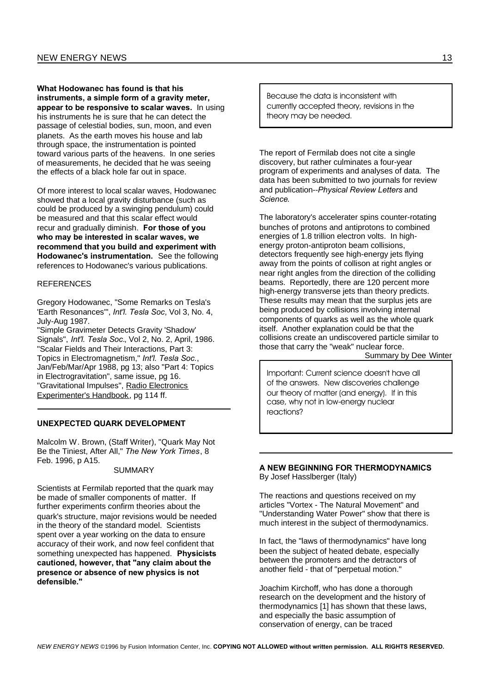**What Hodowanec has found is that his instruments, a simple form of a gravity meter, appear to be responsive to scalar waves.** In using his instruments he is sure that he can detect the passage of celestial bodies, sun, moon, and even planets. As the earth moves his house and lab

through space, the instrumentation is pointed toward various parts of the heavens. In one series of measurements, he decided that he was seeing the effects of a black hole far out in space.

Of more interest to local scalar waves, Hodowanec showed that a local gravity disturbance (such as could be produced by a swinging pendulum) could be measured and that this scalar effect would recur and gradually diminish. **For those of you who may be interested in scalar waves, we recommend that you build and experiment with Hodowanec's instrumentation.** See the following references to Hodowanec's various publications.

#### **REFERENCES**

Gregory Hodowanec, "Some Remarks on Tesla's 'Earth Resonances'", *Int'l. Tesla Soc*, Vol 3, No. 4, July-Aug 1987.

"Simple Gravimeter Detects Gravity 'Shadow' Signals", *Int'l. Tesla Soc.*, Vol 2, No. 2, April, 1986. "Scalar Fields and Their Interactions, Part 3: Topics in Electromagnetism," *Int'l. Tesla Soc.*, Jan/Feb/Mar/Apr 1988, pg 13; also "Part 4: Topics in Electrogravitation", same issue, pg 16. "Gravitational Impulses", Radio Electronics Experimenter's Handbook, pg 114 ff.

#### **UNEXPECTED QUARK DEVELOPMENT**

Malcolm W. Brown, (Staff Writer), "Quark May Not Be the Tiniest, After All," *The New York Times*, 8 Feb. 1996, p A15.

#### SUMMARY

Scientists at Fermilab reported that the quark may be made of smaller components of matter. If further experiments confirm theories about the quark's structure, major revisions would be needed in the theory of the standard model. Scientists spent over a year working on the data to ensure accuracy of their work, and now feel confident that something unexpected has happened. **Physicists cautioned, however, that "any claim about the presence or absence of new physics is not defensible."**

Because the data is inconsistent with currently accepted theory, revisions in the theory may be needed.

The report of Fermilab does not cite a single discovery, but rather culminates a four-year program of experiments and analyses of data. The data has been submitted to two journals for review and publication--*Physical Review Letters* and *Science*.

The laboratory's accelerater spins counter-rotating bunches of protons and antiprotons to combined energies of 1.8 trillion electron volts. In highenergy proton-antiproton beam collisions, detectors frequently see high-energy jets flying away from the points of collison at right angles or near right angles from the direction of the colliding beams. Reportedly, there are 120 percent more high-energy transverse jets than theory predicts. These results may mean that the surplus jets are being produced by collisions involving internal components of quarks as well as the whole quark itself. Another explanation could be that the collisions create an undiscovered particle similar to those that carry the "weak" nuclear force.

Summary by Dee Winter

Important: Current science doesn't have all of the answers. New discoveries challenge our theory of matter (and energy). If in this case, why not in low-energy nuclear reactions?

#### **A NEW BEGINNING FOR THERMODYNAMICS** By Josef Hasslberger (Italy)

The reactions and questions received on my articles "Vortex - The Natural Movement" and "Understanding Water Power" show that there is much interest in the subject of thermodynamics.

In fact, the "laws of thermodynamics" have long been the subject of heated debate, especially between the promoters and the detractors of another field - that of "perpetual motion."

Joachim Kirchoff, who has done a thorough research on the development and the history of thermodynamics [1] has shown that these laws, and especially the basic assumption of conservation of energy, can be traced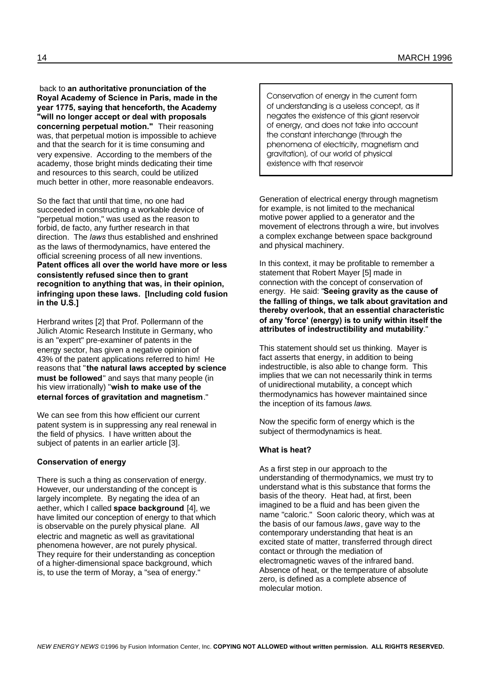back to **an authoritative pronunciation of the Royal Academy of Science in Paris, made in the year 1775, saying that henceforth, the Academy "will no longer accept or deal with proposals concerning perpetual motion."** Their reasoning was, that perpetual motion is impossible to achieve and that the search for it is time consuming and very expensive. According to the members of the academy, those bright minds dedicating their time and resources to this search, could be utilized much better in other, more reasonable endeavors.

So the fact that until that time, no one had succeeded in constructing a workable device of "perpetual motion," was used as the reason to forbid, de facto, any further research in that direction. The *laws* thus established and enshrined as the laws of thermodynamics, have entered the official screening process of all new inventions. **Patent offices all over the world have more or less consistently refused since then to grant recognition to anything that was, in their opinion, infringing upon these laws. [Including cold fusion in the U.S.]**

Herbrand writes [2] that Prof. Pollermann of the Jülich Atomic Research Institute in Germany, who is an "expert" pre-examiner of patents in the energy sector, has given a negative opinion of 43% of the patent applications referred to him! He reasons that "**the natural laws accepted by science must be followed**" and says that many people (in his view irrationally) "**wish to make use of the eternal forces of gravitation and magnetism**."

We can see from this how efficient our current patent system is in suppressing any real renewal in the field of physics. I have written about the subject of patents in an earlier article [3].

#### **Conservation of energy**

There is such a thing as conservation of energy. However, our understanding of the concept is largely incomplete. By negating the idea of an aether, which I called **space background** [4], we have limited our conception of energy to that which is observable on the purely physical plane. All electric and magnetic as well as gravitational phenomena however, are not purely physical. They require for their understanding as conception of a higher-dimensional space background, which is, to use the term of Moray, a "sea of energy."

Conservation of energy in the current form of understanding is a useless concept, as it negates the existence of this giant reservoir of energy, and does not take into account the constant interchange (through the phenomena of electricity, magnetism and gravitation), of our world of physical existence with that reservoir

Generation of electrical energy through magnetism for example, is not limited to the mechanical motive power applied to a generator and the movement of electrons through a wire, but involves a complex exchange between space background and physical machinery.

In this context, it may be profitable to remember a statement that Robert Mayer [5] made in connection with the concept of conservation of energy. He said: "**Seeing gravity as the cause of the falling of things, we talk about gravitation and thereby overlook, that an essential characteristic of any 'force' (energy) is to unify within itself the attributes of indestructibility and mutability**."

This statement should set us thinking. Mayer is fact asserts that energy, in addition to being indestructible, is also able to change form. This implies that we can not necessarily think in terms of unidirectional mutability, a concept which thermodynamics has however maintained since the inception of its famous *laws*.

Now the specific form of energy which is the subject of thermodynamics is heat.

#### **What is heat?**

As a first step in our approach to the understanding of thermodynamics, we must try to understand what is this substance that forms the basis of the theory. Heat had, at first, been imagined to be a fluid and has been given the name "caloric." Soon caloric theory, which was at the basis of our famous *laws*, gave way to the contemporary understanding that heat is an excited state of matter, transferred through direct contact or through the mediation of electromagnetic waves of the infrared band. Absence of heat, or the temperature of absolute zero, is defined as a complete absence of molecular motion.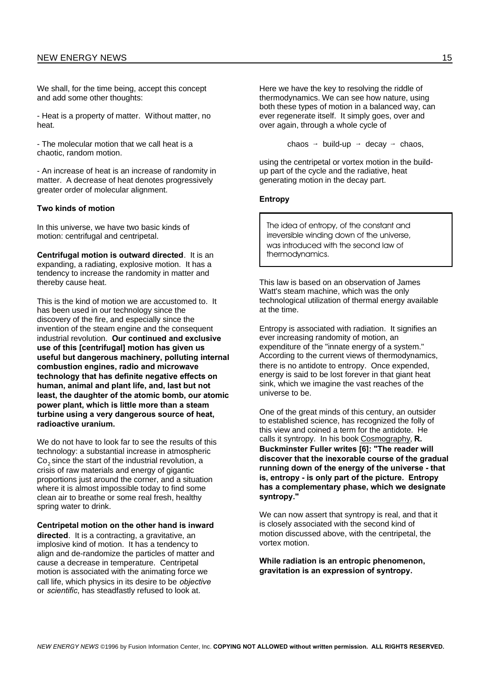We shall, for the time being, accept this concept and add some other thoughts:

- Heat is a property of matter. Without matter, no heat.

- The molecular motion that we call heat is a chaotic, random motion.

- An increase of heat is an increase of randomity in matter. A decrease of heat denotes progressively greater order of molecular alignment.

#### **Two kinds of motion**

In this universe, we have two basic kinds of motion: centrifugal and centripetal.

**Centrifugal motion is outward directed**. It is an expanding, a radiating, explosive motion. It has a tendency to increase the randomity in matter and thereby cause heat.

This is the kind of motion we are accustomed to. It has been used in our technology since the discovery of the fire, and especially since the invention of the steam engine and the consequent industrial revolution. **Our continued and exclusive use of this [centrifugal] motion has given us useful but dangerous machinery, polluting internal combustion engines, radio and microwave technology that has definite negative effects on human, animal and plant life, and, last but not least, the daughter of the atomic bomb, our atomic power plant, which is little more than a steam turbine using a very dangerous source of heat, radioactive uranium.**

We do not have to look far to see the results of this technology: a substantial increase in atmospheric Co $_2$ since the start of the industrial revolution, a crisis of raw materials and energy of gigantic proportions just around the corner, and a situation where it is almost impossible today to find some clean air to breathe or some real fresh, healthy spring water to drink.

#### **Centripetal motion on the other hand is inward**

**directed**. It is a contracting, a gravitative, an implosive kind of motion. It has a tendency to align and de-randomize the particles of matter and cause a decrease in temperature. Centripetal motion is associated with the animating force we call life, which physics in its desire to be *objective* or *scientific*, has steadfastly refused to look at.

Here we have the key to resolving the riddle of thermodynamics. We can see how nature, using both these types of motion in a balanced way, can ever regenerate itself. It simply goes, over and over again, through a whole cycle of

chaos  $\rightarrow$  build-up  $\rightarrow$  decay  $\rightarrow$  chaos,

using the centripetal or vortex motion in the buildup part of the cycle and the radiative, heat generating motion in the decay part.

#### **Entropy**

The idea of entropy, of the constant and irreversible winding down of the universe, was introduced with the second law of thermodynamics.

This law is based on an observation of James Watt's steam machine, which was the only technological utilization of thermal energy available at the time.

Entropy is associated with radiation. It signifies an ever increasing randomity of motion, an expenditure of the "innate energy of a system." According to the current views of thermodynamics, there is no antidote to entropy. Once expended, energy is said to be lost forever in that giant heat sink, which we imagine the vast reaches of the universe to be.

One of the great minds of this century, an outsider to established science, has recognized the folly of this view and coined a term for the antidote. He calls it syntropy. In his book Cosmography, **R. Buckminster Fuller writes [6]: "The reader will discover that the inexorable course of the gradual running down of the energy of the universe - that is, entropy - is only part of the picture. Entropy has a complementary phase, which we designate syntropy."**

We can now assert that syntropy is real, and that it is closely associated with the second kind of motion discussed above, with the centripetal, the vortex motion.

**While radiation is an entropic phenomenon, gravitation is an expression of syntropy.**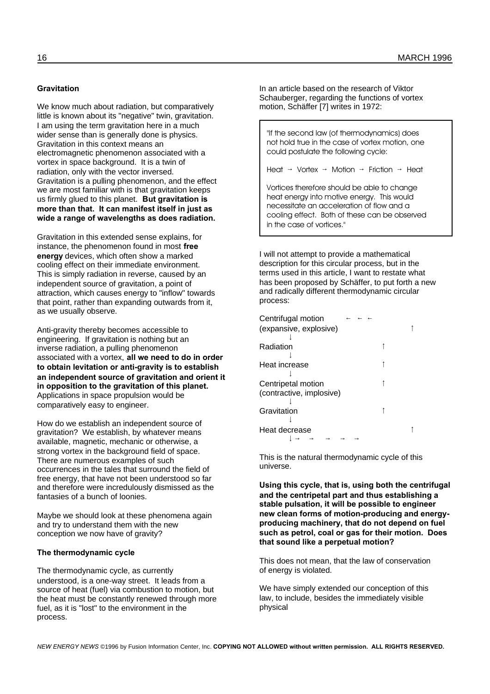#### **Gravitation**

We know much about radiation, but comparatively little is known about its "negative" twin, gravitation. I am using the term gravitation here in a much wider sense than is generally done is physics. Gravitation in this context means an electromagnetic phenomenon associated with a vortex in space background. It is a twin of radiation, only with the vector inversed. Gravitation is a pulling phenomenon, and the effect we are most familiar with is that gravitation keeps us firmly glued to this planet. **But gravitation is more than that. It can manifest itself in just as wide a range of wavelengths as does radiation.**

Gravitation in this extended sense explains, for instance, the phenomenon found in most **free energy** devices, which often show a marked cooling effect on their immediate environment. This is simply radiation in reverse, caused by an independent source of gravitation, a point of attraction, which causes energy to "inflow" towards that point, rather than expanding outwards from it, as we usually observe.

Anti-gravity thereby becomes accessible to engineering. If gravitation is nothing but an inverse radiation, a pulling phenomenon associated with a vortex, **all we need to do in order to obtain levitation or anti-gravity is to establish an independent source of gravitation and orient it in opposition to the gravitation of this planet.** Applications in space propulsion would be comparatively easy to engineer.

How do we establish an independent source of gravitation? We establish, by whatever means available, magnetic, mechanic or otherwise, a strong vortex in the background field of space. There are numerous examples of such occurrences in the tales that surround the field of free energy, that have not been understood so far and therefore were incredulously dismissed as the fantasies of a bunch of loonies.

Maybe we should look at these phenomena again and try to understand them with the new conception we now have of gravity?

#### **The thermodynamic cycle**

The thermodynamic cycle, as currently understood, is a one-way street. It leads from a source of heat (fuel) via combustion to motion, but the heat must be constantly renewed through more fuel, as it is "lost" to the environment in the process.

In an article based on the research of Viktor Schauberger, regarding the functions of vortex motion, Schäffer [7] writes in 1972:

"If the second law (of thermodynamics) does not hold true in the case of vortex motion, one could postulate the following cycle:

Heat  $\rightarrow$  Vortex  $\rightarrow$  Motion  $\rightarrow$  Friction  $\rightarrow$  Heat

Vortices therefore should be able to change heat energy into motive energy. This would necessitate an acceleration of flow and a cooling effect. Both of these can be observed in the case of vortices."

I will not attempt to provide a mathematical description for this circular process, but in the terms used in this article, I want to restate what has been proposed by Schäffer, to put forth a new and radically different thermodynamic circular process:

| Centrifugal motion       |  |  |  |
|--------------------------|--|--|--|
| (expansive, explosive)   |  |  |  |
|                          |  |  |  |
| Radiation                |  |  |  |
|                          |  |  |  |
| Heat increase            |  |  |  |
|                          |  |  |  |
| Centripetal motion       |  |  |  |
| (contractive, implosive) |  |  |  |
|                          |  |  |  |
| Gravitation              |  |  |  |
|                          |  |  |  |
| Heat decrease            |  |  |  |
|                          |  |  |  |
|                          |  |  |  |

This is the natural thermodynamic cycle of this universe.

**Using this cycle, that is, using both the centrifugal and the centripetal part and thus establishing a stable pulsation, it will be possible to engineer new clean forms of motion-producing and energyproducing machinery, that do not depend on fuel such as petrol, coal or gas for their motion. Does that sound like a perpetual motion?**

This does not mean, that the law of conservation of energy is violated.

We have simply extended our conception of this law, to include, besides the immediately visible physical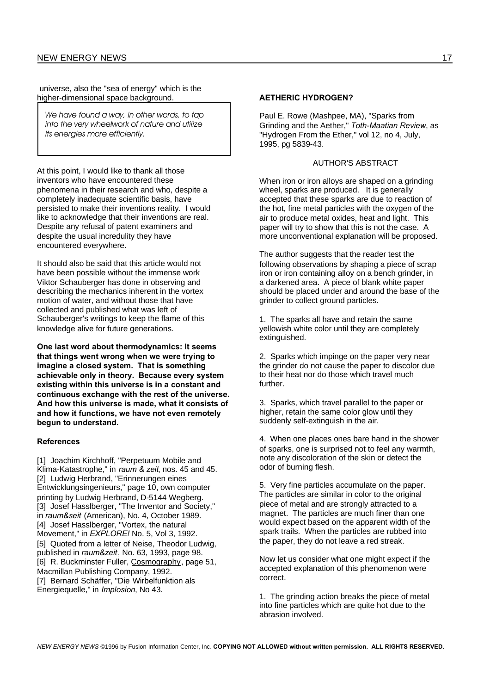#### NEW ENERGY NEWS 2008 17 No. 2009 17 No. 2012 17:30 17:30 17:30 17:30 17:30 17:30 17:30 17:30 17:30 17:30 17:30

universe, also the "sea of energy" which is the higher-dimensional space background.

*We have found a way, in other words, to tap into the very wheelwork of nature and utilize its energies more efficiently.*

At this point, I would like to thank all those inventors who have encountered these phenomena in their research and who, despite a completely inadequate scientific basis, have persisted to make their inventions reality. I would like to acknowledge that their inventions are real. Despite any refusal of patent examiners and despite the usual incredulity they have encountered everywhere.

It should also be said that this article would not have been possible without the immense work Viktor Schauberger has done in observing and describing the mechanics inherent in the vortex motion of water, and without those that have collected and published what was left of Schauberger's writings to keep the flame of this knowledge alive for future generations.

**One last word about thermodynamics: It seems that things went wrong when we were trying to imagine a closed system. That is something achievable only in theory. Because every system existing within this universe is in a constant and continuous exchange with the rest of the universe. And how this universe is made, what it consists of and how it functions, we have not even remotely begun to understand.**

#### **References**

[1] Joachim Kirchhoff, "Perpetuum Mobile and Klima-Katastrophe," in *raum & zeit*, nos. 45 and 45. [2] Ludwig Herbrand, "Erinnerungen eines Entwicklungsingenieurs," page 10, own computer printing by Ludwig Herbrand, D-5144 Wegberg. [3] Josef Hasslberger, "The Inventor and Society," in *raum&seit* (American), No. 4, October 1989. [4] Josef Hasslberger, "Vortex, the natural Movement," in *EXPLORE!* No. 5, Vol 3, 1992. [5] Quoted from a letter of Neise, Theodor Ludwig, published in *raum&zeit*, No. 63, 1993, page 98. [6] R. Buckminster Fuller, Cosmography, page 51, Macmillan Publishing Company, 1992. [7] Bernard Schäffer, "Die Wirbelfunktion als Energiequelle," in *Implosion*, No 43.

#### **AETHERIC HYDROGEN?**

Paul E. Rowe (Mashpee, MA), "Sparks from Grinding and the Aether," *Toth-Maatian Review*, as "Hydrogen From the Ether," vol 12, no 4, July, 1995, pg 5839-43.

#### AUTHOR'S ABSTRACT

When iron or iron allovs are shaped on a grinding wheel, sparks are produced. It is generally accepted that these sparks are due to reaction of the hot, fine metal particles with the oxygen of the air to produce metal oxides, heat and light. This paper will try to show that this is not the case. A more unconventional explanation will be proposed.

The author suggests that the reader test the following observations by shaping a piece of scrap iron or iron containing alloy on a bench grinder, in a darkened area. A piece of blank white paper should be placed under and around the base of the grinder to collect ground particles.

1. The sparks all have and retain the same yellowish white color until they are completely extinguished.

2. Sparks which impinge on the paper very near the grinder do not cause the paper to discolor due to their heat nor do those which travel much further.

3. Sparks, which travel parallel to the paper or higher, retain the same color glow until they suddenly self-extinguish in the air.

4. When one places ones bare hand in the shower of sparks, one is surprised not to feel any warmth, note any discoloration of the skin or detect the odor of burning flesh.

5. Very fine particles accumulate on the paper. The particles are similar in color to the original piece of metal and are strongly attracted to a magnet. The particles are much finer than one would expect based on the apparent width of the spark trails. When the particles are rubbed into the paper, they do not leave a red streak.

Now let us consider what one might expect if the accepted explanation of this phenomenon were correct.

1. The grinding action breaks the piece of metal into fine particles which are quite hot due to the abrasion involved.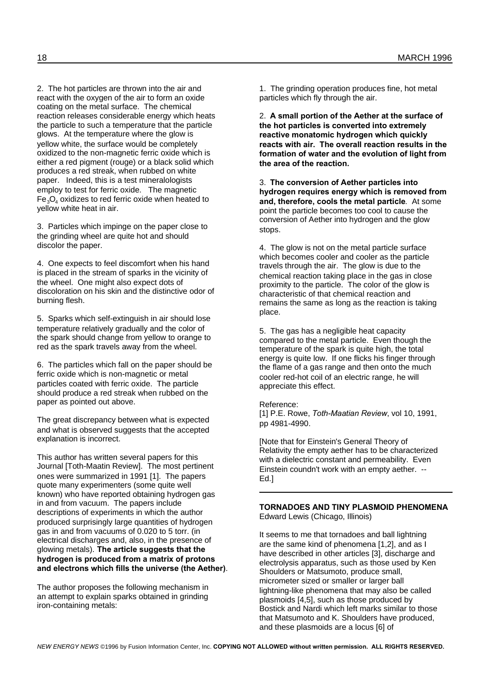2. The hot particles are thrown into the air and react with the oxygen of the air to form an oxide coating on the metal surface. The chemical reaction releases considerable energy which heats the particle to such a temperature that the particle glows. At the temperature where the glow is yellow white, the surface would be completely oxidized to the non-magnetic ferric oxide which is either a red pigment (rouge) or a black solid which produces a red streak, when rubbed on white paper. Indeed, this is a test mineralologists employ to test for ferric oxide. The magnetic Fe3O<sup>4</sup> oxidizes to red ferric oxide when heated to yellow white heat in air.

3. Particles which impinge on the paper close to the grinding wheel are quite hot and should discolor the paper.

4. One expects to feel discomfort when his hand is placed in the stream of sparks in the vicinity of the wheel. One might also expect dots of discoloration on his skin and the distinctive odor of burning flesh.

5. Sparks which self-extinguish in air should lose temperature relatively gradually and the color of the spark should change from yellow to orange to red as the spark travels away from the wheel.

6. The particles which fall on the paper should be ferric oxide which is non-magnetic or metal particles coated with ferric oxide. The particle should produce a red streak when rubbed on the paper as pointed out above.

The great discrepancy between what is expected and what is observed suggests that the accepted explanation is incorrect.

This author has written several papers for this Journal [Toth-Maatin Review]. The most pertinent ones were summarized in 1991 [1]. The papers quote many experimenters (some quite well known) who have reported obtaining hydrogen gas in and from vacuum. The papers include descriptions of experiments in which the author produced surprisingly large quantities of hydrogen gas in and from vacuums of 0.020 to 5 torr. (in electrical discharges and, also, in the presence of glowing metals). **The article suggests that the hydrogen is produced from a matrix of protons and electrons which fills the universe (the Aether)**.

The author proposes the following mechanism in an attempt to explain sparks obtained in grinding iron-containing metals:

1. The grinding operation produces fine, hot metal particles which fly through the air.

2. **A small portion of the Aether at the surface of the hot particles is converted into extremely reactive monatomic hydrogen which quickly reacts with air. The overall reaction results in the formation of water and the evolution of light from the area of the reaction.**

3. **The conversion of Aether particles into hydrogen requires energy which is removed from and, therefore, cools the metal particle**. At some point the particle becomes too cool to cause the conversion of Aether into hydrogen and the glow stops.

4. The glow is not on the metal particle surface which becomes cooler and cooler as the particle travels through the air. The glow is due to the chemical reaction taking place in the gas in close proximity to the particle. The color of the glow is characteristic of that chemical reaction and remains the same as long as the reaction is taking place.

5. The gas has a negligible heat capacity compared to the metal particle. Even though the temperature of the spark is quite high, the total energy is quite low. If one flicks his finger through the flame of a gas range and then onto the much cooler red-hot coil of an electric range, he will appreciate this effect.

#### Reference:

[1] P.E. Rowe, *Toth-Maatian Review*, vol 10, 1991, pp 4981-4990.

[Note that for Einstein's General Theory of Relativity the empty aether has to be characterized with a dielectric constant and permeability. Even Einstein coundn't work with an empty aether. -- Ed.]

**TORNADOES AND TINY PLASMOID PHENOMENA** Edward Lewis (Chicago, Illinois)

It seems to me that tornadoes and ball lightning are the same kind of phenomena [1,2], and as I have described in other articles [3], discharge and electrolysis apparatus, such as those used by Ken Shoulders or Matsumoto, produce small, micrometer sized or smaller or larger ball lightning-like phenomena that may also be called plasmoids [4,5], such as those produced by Bostick and Nardi which left marks similar to those that Matsumoto and K. Shoulders have produced, and these plasmoids are a locus [6] of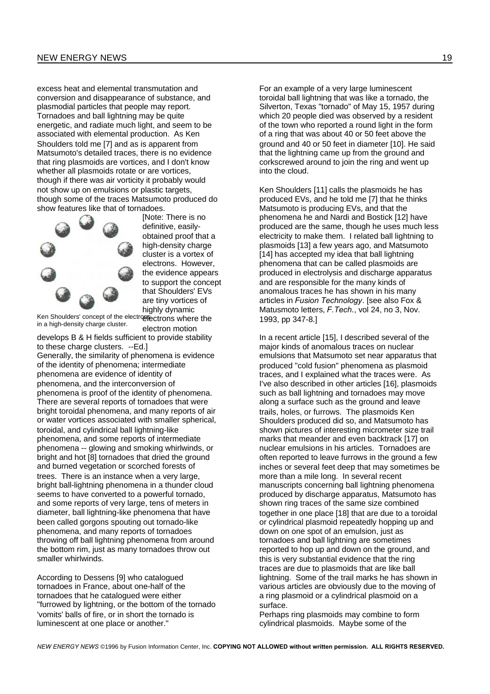excess heat and elemental transmutation and conversion and disappearance of substance, and plasmodial particles that people may report. Tornadoes and ball lightning may be quite energetic, and radiate much light, and seem to be associated with elemental production. As Ken Shoulders told me [7] and as is apparent from Matsumoto's detailed traces, there is no evidence that ring plasmoids are vortices, and I don't know whether all plasmoids rotate or are vortices, though if there was air vorticity it probably would not show up on emulsions or plastic targets, though some of the traces Matsumoto produced do show features like that of tornadoes.



[Note: There is no definitive, easilyobtained proof that a high-density charge cluster is a vortex of electrons. However, the evidence appears to support the concept that Shoulders' EVs are tiny vortices of highly dynamic

Ken Shoulders' concept of the electrople ctrons where the in a high-density charge cluster. electron motion

develops B & H fields sufficient to provide stability to these charge clusters. --Ed.]

Generally, the similarity of phenomena is evidence of the identity of phenomena; intermediate phenomena are evidence of identity of phenomena, and the interconversion of phenomena is proof of the identity of phenomena. There are several reports of tornadoes that were bright toroidal phenomena, and many reports of air or water vortices associated with smaller spherical, toroidal, and cylindrical ball lightning-like phenomena, and some reports of intermediate phenomena -- glowing and smoking whirlwinds, or bright and hot [8] tornadoes that dried the ground and burned vegetation or scorched forests of trees. There is an instance when a very large, bright ball-lightning phenomena in a thunder cloud seems to have converted to a powerful tornado, and some reports of very large, tens of meters in diameter, ball lightning-like phenomena that have been called gorgons spouting out tornado-like phenomena, and many reports of tornadoes throwing off ball lightning phenomena from around the bottom rim, just as many tornadoes throw out smaller whirlwinds.

According to Dessens [9] who catalogued tornadoes in France, about one-half of the tornadoes that he catalogued were either "furrowed by lightning, or the bottom of the tornado 'vomits' balls of fire, or in short the tornado is luminescent at one place or another."

For an example of a very large luminescent toroidal ball lightning that was like a tornado, the Silverton, Texas "tornado" of May 15, 1957 during which 20 people died was observed by a resident of the town who reported a round light in the form of a ring that was about 40 or 50 feet above the ground and 40 or 50 feet in diameter [10]. He said that the lightning came up from the ground and corkscrewed around to join the ring and went up into the cloud.

Ken Shoulders [11] calls the plasmoids he has produced EVs, and he told me [7] that he thinks Matsumoto is producing EVs, and that the phenomena he and Nardi and Bostick [12] have produced are the same, though he uses much less electricity to make them. I related ball lightning to plasmoids [13] a few years ago, and Matsumoto [14] has accepted my idea that ball lightning phenomena that can be called plasmoids are produced in electrolysis and discharge apparatus and are responsible for the many kinds of anomalous traces he has shown in his many articles in *Fusion Technology*. [see also Fox & Matusmoto letters, *F.Tech.*, vol 24, no 3, Nov. 1993, pp 347-8.]

In a recent article [15], I described several of the major kinds of anomalous traces on nuclear emulsions that Matsumoto set near apparatus that produced "cold fusion" phenomena as plasmoid traces, and I explained what the traces were. As I've also described in other articles [16], plasmoids such as ball lightning and tornadoes may move along a surface such as the ground and leave trails, holes, or furrows. The plasmoids Ken Shoulders produced did so, and Matsumoto has shown pictures of interesting micrometer size trail marks that meander and even backtrack [17] on nuclear emulsions in his articles. Tornadoes are often reported to leave furrows in the ground a few inches or several feet deep that may sometimes be more than a mile long. In several recent manuscripts concerning ball lightning phenomena produced by discharge apparatus, Matsumoto has shown ring traces of the same size combined together in one place [18] that are due to a toroidal or cylindrical plasmoid repeatedly hopping up and down on one spot of an emulsion, just as tornadoes and ball lightning are sometimes reported to hop up and down on the ground, and this is very substantial evidence that the ring traces are due to plasmoids that are like ball lightning. Some of the trail marks he has shown in various articles are obviously due to the moving of a ring plasmoid or a cylindrical plasmoid on a surface.

Perhaps ring plasmoids may combine to form cylindrical plasmoids. Maybe some of the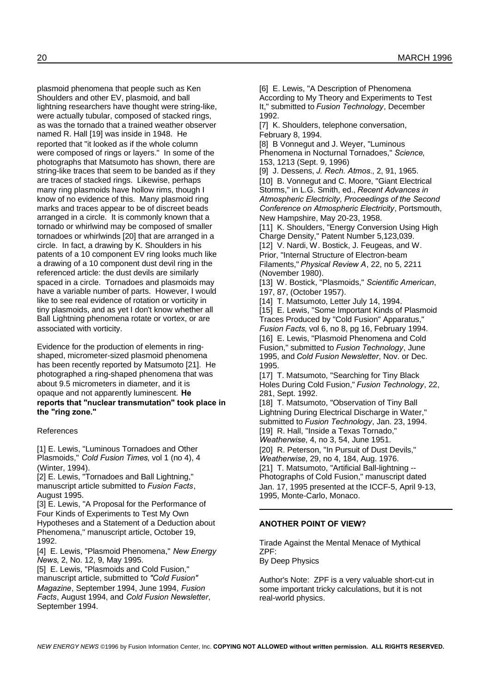plasmoid phenomena that people such as Ken Shoulders and other EV, plasmoid, and ball lightning researchers have thought were string-like, were actually tubular, composed of stacked rings, as was the tornado that a trained weather observer named R. Hall [19] was inside in 1948. He reported that "it looked as if the whole column were composed of rings or layers." In some of the photographs that Matsumoto has shown, there are string-like traces that seem to be banded as if they are traces of stacked rings. Likewise, perhaps many ring plasmoids have hollow rims, though I know of no evidence of this. Many plasmoid ring marks and traces appear to be of discreet beads arranged in a circle. It is commonly known that a tornado or whirlwind may be composed of smaller tornadoes or whirlwinds [20] that are arranged in a circle. In fact, a drawing by K. Shoulders in his patents of a 10 component EV ring looks much like a drawing of a 10 component dust devil ring in the referenced article: the dust devils are similarly spaced in a circle. Tornadoes and plasmoids may have a variable number of parts. However, I would like to see real evidence of rotation or vorticity in tiny plasmoids, and as yet I don't know whether all Ball Lightning phenomena rotate or vortex, or are associated with vorticity.

Evidence for the production of elements in ringshaped, micrometer-sized plasmoid phenomena has been recently reported by Matsumoto [21]. He photographed a ring-shaped phenomena that was about 9.5 micrometers in diameter, and it is opaque and not apparently luminescent. **He reports that "nuclear transmutation" took place in the "ring zone."**

#### References

[1] E. Lewis, "Luminous Tornadoes and Other Plasmoids," *Cold Fusion Times*, vol 1 (no 4), 4 (Winter, 1994).

[2] E. Lewis, "Tornadoes and Ball Lightning," manuscript article submitted to *Fusion Facts*, August 1995.

[3] E. Lewis, "A Proposal for the Performance of Four Kinds of Experiments to Test My Own Hypotheses and a Statement of a Deduction about Phenomena," manuscript article, October 19, 1992.

[4] E. Lewis, "Plasmoid Phenomena," *New Energy News*, 2, No. 12, 9, May 1995.

[5] E. Lewis, "Plasmoids and Cold Fusion," manuscript article, submitted to *"Cold Fusion" Magazine*, September 1994, June 1994, *Fusion Facts*, August 1994, and *Cold Fusion Newsletter*, September 1994.

[6] E. Lewis, "A Description of Phenomena According to My Theory and Experiments to Test It," submitted to *Fusion Technology*, December 1992.

[7] K. Shoulders, telephone conversation, February 8, 1994.

[8] B Vonnegut and J. Wever, "Luminous Phenomena in Nocturnal Tornadoes," *Science*, 153, 1213 (Sept. 9, 1996)

[9] J. Dessens, *J. Rech. Atmos.*, 2, 91, 1965. [10] B. Vonnegut and C. Moore, "Giant Electrical Storms," in L.G. Smith, ed., *Recent Advances in Atmospheric Electricity, Proceedings of the Second Conference on Atmospheric Electricity*, Portsmouth, New Hampshire, May 20-23, 1958.

[11] K. Shoulders, "Energy Conversion Using High Charge Density," Patent Number 5,123,039. [12] V. Nardi, W. Bostick, J. Feugeas, and W.

Prior, "Internal Structure of Electron-beam Filaments," *Physical Review A*, 22, no 5, 2211 (November 1980).

[13] W. Bostick, "Plasmoids," *Scientific American*, 197, 87, (October 1957).

[14] T. Matsumoto, Letter July 14, 1994. [15] E. Lewis, "Some Important Kinds of Plasmoid Traces Produced by "Cold Fusion" Apparatus," *Fusion Facts*, vol 6, no 8, pg 16, February 1994. [16] E. Lewis, "Plasmoid Phenomena and Cold Fusion," submitted to *Fusion Technology*, June 1995, and *Cold Fusion Newsletter*, Nov. or Dec. 1995.

[17] T. Matsumoto, "Searching for Tiny Black Holes During Cold Fusion," *Fusion Technology*, 22, 281, Sept. 1992.

[18] T. Matsumoto, "Observation of Tiny Ball Lightning During Electrical Discharge in Water," submitted to *Fusion Technology*, Jan. 23, 1994. [19] R. Hall, "Inside a Texas Tornado," *Weatherwise*, 4, no 3, 54, June 1951. [20] R. Peterson, "In Pursuit of Dust Devils," *Weatherwise*, 29, no 4, 184, Aug. 1976. [21] T. Matsumoto, "Artificial Ball-lightning -- Photographs of Cold Fusion," manuscript dated Jan. 17, 1995 presented at the ICCF-5, April 9-13, 1995, Monte-Carlo, Monaco.

#### **ANOTHER POINT OF VIEW?**

Tirade Against the Mental Menace of Mythical ZPF: By Deep Physics

Author's Note: ZPF is a very valuable short-cut in some important tricky calculations, but it is not real-world physics.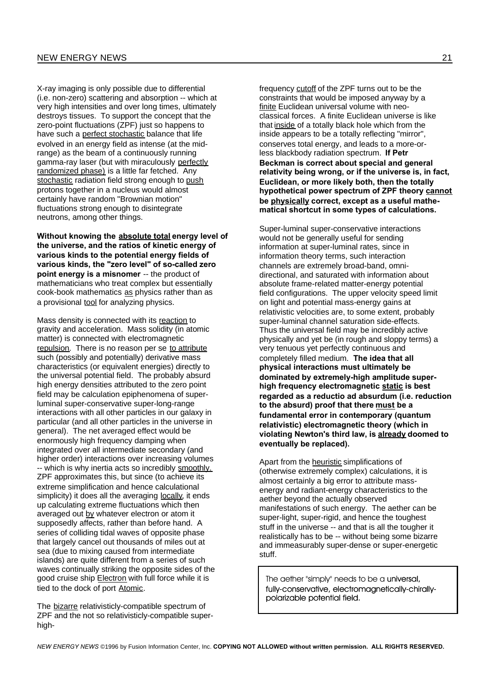X-ray imaging is only possible due to differential (i.e. non-zero) scattering and absorption -- which at very high intensities and over long times, ultimately destroys tissues. To support the concept that the zero-point fluctuations (ZPF) just so happens to have such a perfect stochastic balance that life evolved in an energy field as intense (at the midrange) as the beam of a continuously running gamma-ray laser (but with miraculously perfectly randomized phase) is a little far fetched. Any stochastic radiation field strong enough to push protons together in a nucleus would almost certainly have random "Brownian motion" fluctuations strong enough to disintegrate neutrons, among other things.

**Without knowing the absolute total energy level of the universe, and the ratios of kinetic energy of various kinds to the potential energy fields of various kinds, the "zero level" of so-called zero point energy is a misnomer** -- the product of mathematicians who treat complex but essentially cook-book mathematics as physics rather than as a provisional tool for analyzing physics.

Mass density is connected with its reaction to gravity and acceleration. Mass solidity (in atomic matter) is connected with electromagnetic repulsion. There is no reason per se to attribute such (possibly and potentially) derivative mass characteristics (or equivalent energies) directly to the universal potential field. The probably absurd high energy densities attributed to the zero point field may be calculation epiphenomena of superluminal super-conservative super-long-range interactions with all other particles in our galaxy in particular (and all other particles in the universe in general). The net averaged effect would be enormously high frequency damping when integrated over all intermediate secondary (and higher order) interactions over increasing volumes -- which is why inertia acts so incredibly smoothly. ZPF approximates this, but since (to achieve its extreme simplification and hence calculational simplicity) it does all the averaging locally, it ends up calculating extreme fluctuations which then averaged out by whatever electron or atom it supposedly affects, rather than before hand. A series of colliding tidal waves of opposite phase that largely cancel out thousands of miles out at sea (due to mixing caused from intermediate islands) are quite different from a series of such waves continually striking the opposite sides of the good cruise ship Electron with full force while it is tied to the dock of port Atomic.

The bizarre relativisticly-compatible spectrum of ZPF and the not so relativisticly-compatible superhighfrequency cutoff of the ZPF turns out to be the constraints that would be imposed anyway by a finite Euclidean universal volume with neoclassical forces. A finite Euclidean universe is like that inside of a totally black hole which from the inside appears to be a totally reflecting "mirror", conserves total energy, and leads to a more-orless blackbody radiation spectrum. **If Petr Beckman is correct about special and general relativity being wrong, or if the universe is, in fact, Euclidean, or more likely both, then the totally hypothetical power spectrum of ZPF theory cannot be physically correct, except as a useful mathematical shortcut in some types of calculations.**

Super-luminal super-conservative interactions would not be generally useful for sending information at super-luminal rates, since in information theory terms, such interaction channels are extremely broad-band, omnidirectional, and saturated with information about absolute frame-related matter-energy potential field configurations. The upper velocity speed limit on light and potential mass-energy gains at relativistic velocities are, to some extent, probably super-luminal channel saturation side-effects. Thus the universal field may be incredibly active physically and yet be (in rough and sloppy terms) a very tenuous yet perfectly continuous and completely filled medium. **The idea that all physical interactions must ultimately be dominated by extremely-high amplitude superhigh frequency electromagnetic static is best regarded as a reductio ad absurdum (i.e. reduction to the absurd) proof that there must be a fundamental error in contemporary (quantum relativistic) electromagnetic theory (which in violating Newton's third law, is already doomed to eventually be replaced).**

Apart from the **heuristic** simplifications of (otherwise extremely complex) calculations, it is almost certainly a big error to attribute massenergy and radiant-energy characteristics to the aether beyond the actually observed manifestations of such energy. The aether can be super-light, super-rigid, and hence the toughest stuff in the universe -- and that is all the tougher it realistically has to be -- without being some bizarre and immeasurably super-dense or super-energetic stuff.

The aether "simply" needs to be a universal, fully-conservative, electromagnetically-chirallypolarizable potential field.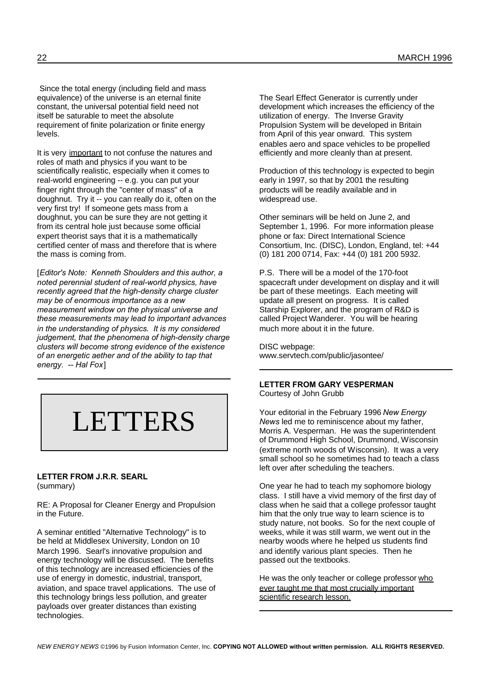Since the total energy (including field and mass equivalence) of the universe is an eternal finite constant, the universal potential field need not itself be saturable to meet the absolute requirement of finite polarization or finite energy levels.

It is very important to not confuse the natures and roles of math and physics if you want to be scientifically realistic, especially when it comes to real-world engineering -- e.g. you can put your finger right through the "center of mass" of a doughnut. Try it -- you can really do it, often on the very first try! If someone gets mass from a doughnut, you can be sure they are not getting it from its central hole just because some official expert theorist says that it is a mathematically certified center of mass and therefore that is where the mass is coming from.

[*Editor's Note: Kenneth Shoulders and this author, a noted perennial student of real-world physics, have recently agreed that the high-density charge cluster may be of enormous importance as a new measurement window on the physical universe and these measurements may lead to important advances in the understanding of physics. It is my considered judgement, that the phenomena of high-density charge clusters will become strong evidence of the existence of an energetic aether and of the ability to tap that energy. -- Hal Fox*]



#### **LETTER FROM J.R.R. SEARL** (summary)

RE: A Proposal for Cleaner Energy and Propulsion in the Future.

A seminar entitled "Alternative Technology" is to be held at Middlesex University, London on 10 March 1996. Searl's innovative propulsion and energy technology will be discussed. The benefits of this technology are increased efficiencies of the use of energy in domestic, industrial, transport, aviation, and space travel applications. The use of this technology brings less pollution, and greater payloads over greater distances than existing technologies.

The Searl Effect Generator is currently under development which increases the efficiency of the utilization of energy. The Inverse Gravity Propulsion System will be developed in Britain from April of this year onward. This system enables aero and space vehicles to be propelled efficiently and more cleanly than at present.

Production of this technology is expected to begin early in 1997, so that by 2001 the resulting products will be readily available and in widespread use.

Other seminars will be held on June 2, and September 1, 1996. For more information please phone or fax: Direct International Science Consortium, Inc. (DISC), London, England, tel: +44 (0) 181 200 0714, Fax: +44 (0) 181 200 5932.

P.S. There will be a model of the 170-foot spacecraft under development on display and it will be part of these meetings. Each meeting will update all present on progress. It is called Starship Explorer, and the program of R&D is called Project Wanderer. You will be hearing much more about it in the future.

DISC webpage: www.servtech.com/public/jasontee/

### **LETTER FROM GARY VESPERMAN**

Courtesy of John Grubb

Your editorial in the February 1996 *New Energy News* led me to reminiscence about my father, Morris A. Vesperman. He was the superintendent of Drummond High School, Drummond, Wisconsin (extreme north woods of Wisconsin). It was a very small school so he sometimes had to teach a class left over after scheduling the teachers.

One year he had to teach my sophomore biology class. I still have a vivid memory of the first day of class when he said that a college professor taught him that the only true way to learn science is to study nature, not books. So for the next couple of weeks, while it was still warm, we went out in the nearby woods where he helped us students find and identify various plant species. Then he passed out the textbooks.

He was the only teacher or college professor who ever taught me that most crucially important scientific research lesson.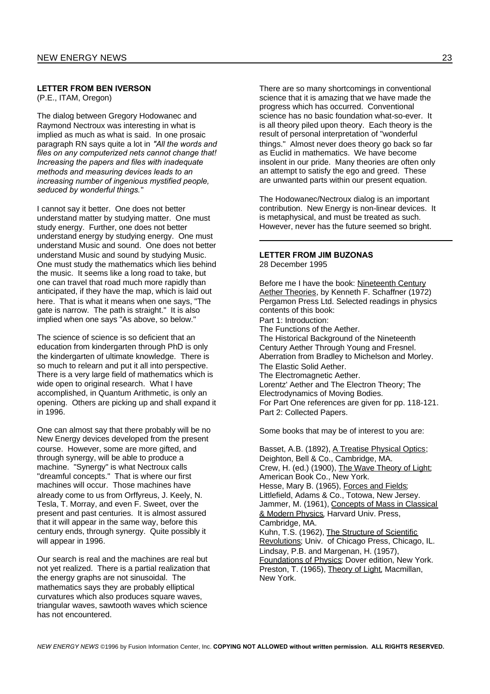#### **LETTER FROM BEN IVERSON**

(P.E., ITAM, Oregon)

The dialog between Gregory Hodowanec and Raymond Nectroux was interesting in what is implied as much as what is said. In one prosaic paragraph RN says quite a lot in *"All the words and files on any computerized nets cannot change that! Increasing the papers and files with inadequate methods and measuring devices leads to an increasing number of ingenious mystified people, seduced by wonderful things.*"

I cannot say it better. One does not better understand matter by studying matter. One must study energy. Further, one does not better understand energy by studying energy. One must understand Music and sound. One does not better understand Music and sound by studying Music. One must study the mathematics which lies behind the music. It seems like a long road to take, but one can travel that road much more rapidly than anticipated, if they have the map, which is laid out here. That is what it means when one says, "The gate is narrow. The path is straight." It is also implied when one says "As above, so below."

The science of science is so deficient that an education from kindergarten through PhD is only the kindergarten of ultimate knowledge. There is so much to relearn and put it all into perspective. There is a very large field of mathematics which is wide open to original research. What I have accomplished, in Quantum Arithmetic, is only an opening. Others are picking up and shall expand it in 1996.

One can almost say that there probably will be no New Energy devices developed from the present course. However, some are more gifted, and through synergy, will be able to produce a machine. "Synergy" is what Nectroux calls "dreamful concepts." That is where our first machines will occur. Those machines have already come to us from Orffyreus, J. Keely, N. Tesla, T. Morray, and even F. Sweet, over the present and past centuries. It is almost assured that it will appear in the same way, before this century ends, through synergy. Quite possibly it will appear in 1996.

Our search is real and the machines are real but not yet realized. There is a partial realization that the energy graphs are not sinusoidal. The mathematics says they are probably elliptical curvatures which also produces square waves, triangular waves, sawtooth waves which science has not encountered.

There are so many shortcomings in conventional science that it is amazing that we have made the progress which has occurred. Conventional science has no basic foundation what-so-ever. It is all theory piled upon theory. Each theory is the result of personal interpretation of "wonderful things." Almost never does theory go back so far as Euclid in mathematics. We have become insolent in our pride. Many theories are often only an attempt to satisfy the ego and greed. These are unwanted parts within our present equation.

The Hodowanec/Nectroux dialog is an important contribution. New Energy is non-linear devices. It is metaphysical, and must be treated as such. However, never has the future seemed so bright.

#### **LETTER FROM JIM BUZONAS**

28 December 1995

Before me I have the book: Nineteenth Century Aether Theories, by Kenneth F. Schaffner (1972) Pergamon Press Ltd. Selected readings in physics contents of this book: Part 1: Introduction: The Functions of the Aether. The Historical Background of the Nineteenth Century Aether Through Young and Fresnel. Aberration from Bradley to Michelson and Morley. The Elastic Solid Aether. The Electromagnetic Aether. Lorentz' Aether and The Electron Theory; The Electrodynamics of Moving Bodies. For Part One references are given for pp. 118-121. Part 2: Collected Papers.

Some books that may be of interest to you are:

Basset, A.B. (1892), A Treatise Physical Optics; Deighton, Bell & Co., Cambridge, MA. Crew, H. (ed.) (1900), The Wave Theory of Light: American Book Co., New York. Hesse, Mary B. (1965), Forces and Fields; Littlefield, Adams & Co., Totowa, New Jersey. Jammer, M. (1961), Concepts of Mass in Classical & Modern Physics, Harvard Univ. Press, Cambridge, MA. Kuhn, T.S. (1962), The Structure of Scientific Revolutions; Univ. of Chicago Press, Chicago, IL. Lindsay, P.B. and Margenan, H. (1957), Foundations of Physics; Dover edition, New York. Preston, T. (1965), Theory of Light, Macmillan, New York.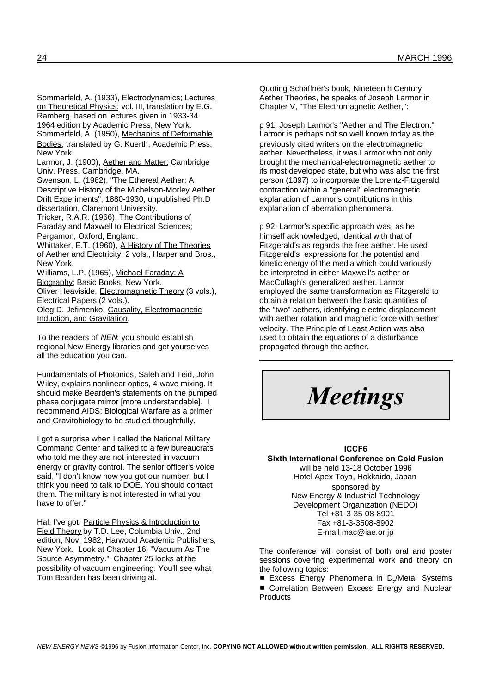Sommerfeld, A. (1933), Electrodynamics; Lectures on Theoretical Physics, vol. III, translation by E.G. Ramberg, based on lectures given in 1933-34. 1964 edition by Academic Press, New York. Sommerfeld, A. (1950), Mechanics of Deformable Bodies, translated by G. Kuerth, Academic Press, New York.

Larmor, J. (1900), Aether and Matter; Cambridge Univ. Press, Cambridge, MA. Swenson, L. (1962), "The Ethereal Aether: A Descriptive History of the Michelson-Morley Aether Drift Experiments", 1880-1930, unpublished Ph.D dissertation, Claremont University. Tricker, R.A.R. (1966), The Contributions of Faraday and Maxwell to Electrical Sciences; Pergamon, Oxford, England. Whittaker, E.T. (1960), A History of The Theories of Aether and Electricity; 2 vols., Harper and Bros., New York. Williams, L.P. (1965), Michael Faraday: A Biography; Basic Books, New York. Oliver Heaviside, Electromagnetic Theory (3 vols.), Electrical Papers (2 vols.). Oleg D. Jefimenko, Causality, Electromagnetic Induction, and Gravitation.

To the readers of *NEN*: you should establish regional New Energy libraries and get yourselves all the education you can.

Fundamentals of Photonics, Saleh and Teid, John Wiley, explains nonlinear optics, 4-wave mixing. It should make Bearden's statements on the pumped phase conjugate mirror [more understandable]. I recommend AIDS: Biological Warfare as a primer and Gravitobiology to be studied thoughtfully.

I got a surprise when I called the National Military Command Center and talked to a few bureaucrats who told me they are not interested in vacuum energy or gravity control. The senior officer's voice said, "I don't know how you got our number, but I think you need to talk to DOE. You should contact them. The military is not interested in what you have to offer."

Hal, I've got: Particle Physics & Introduction to Field Theory by T.D. Lee, Columbia Univ., 2nd edition, Nov. 1982, Harwood Academic Publishers, New York. Look at Chapter 16, "Vacuum As The Source Asymmetry." Chapter 25 looks at the possibility of vacuum engineering. You'll see what Tom Bearden has been driving at.

Quoting Schaffner's book, Nineteenth Century Aether Theories, he speaks of Joseph Larmor in Chapter V, "The Electromagnetic Aether,":

p 91: Joseph Larmor's "Aether and The Electron." Larmor is perhaps not so well known today as the previously cited writers on the electromagnetic aether. Nevertheless, it was Larmor who not only brought the mechanical-electromagnetic aether to its most developed state, but who was also the first person (1897) to incorporate the Lorentz-Fitzgerald contraction within a "general" electromagnetic explanation of Larmor's contributions in this explanation of aberration phenomena.

p 92: Larmor's specific approach was, as he himself acknowledged, identical with that of Fitzgerald's as regards the free aether. He used Fitzgerald's expressions for the potential and kinetic energy of the media which could variously be interpreted in either Maxwell's aether or MacCullagh's generalized aether. Larmor employed the same transformation as Fitzgerald to obtain a relation between the basic quantities of the "two" aethers, identifying electric displacement with aether rotation and magnetic force with aether velocity. The Principle of Least Action was also used to obtain the equations of a disturbance propagated through the aether.



#### **ICCF6**

**Sixth International Conference on Cold Fusion**

will be held 13-18 October 1996 Hotel Apex Toya, Hokkaido, Japan sponsored by New Energy & Industrial Technology Development Organization (NEDO) Tel +81-3-35-08-8901 Fax +81-3-3508-8902 E-mail mac@iae.or.jp

The conference will consist of both oral and poster sessions covering experimental work and theory on the following topics:

Excess Energy Phenomena in  $D_2/M$ etal Systems ■ Correlation Between Excess Energy and Nuclear **Products**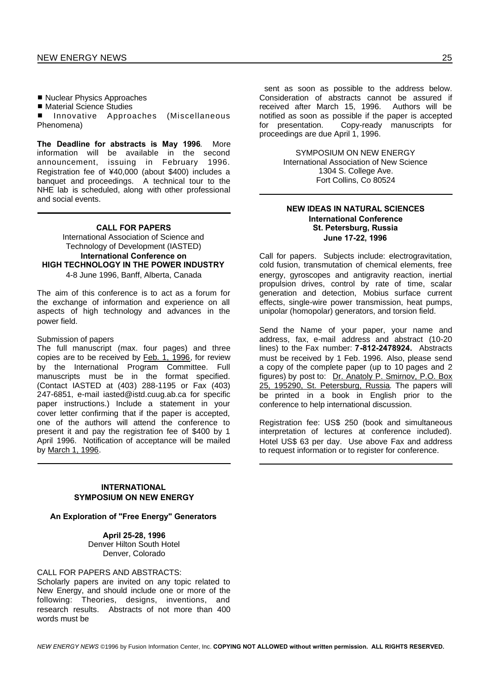■ Nuclear Physics Approaches

■ Material Science Studies

Innovative Approaches (Miscellaneous Phenomena)

**The Deadline for abstracts is May 1996**. More information will be available in the second announcement, issuing in February 1996. Registration fee of ¥40,000 (about \$400) includes a banquet and proceedings. A technical tour to the NHE lab is scheduled, along with other professional and social events.

#### **CALL FOR PAPERS**

International Association of Science and Technology of Development (IASTED) **International Conference on HIGH TECHNOLOGY IN THE POWER INDUSTRY** 4-8 June 1996, Banff, Alberta, Canada

The aim of this conference is to act as a forum for the exchange of information and experience on all aspects of high technology and advances in the power field.

#### Submission of papers

The full manuscript (max. four pages) and three copies are to be received by Feb. 1, 1996, for review by the International Program Committee. Full manuscripts must be in the format specified. (Contact IASTED at (403) 288-1195 or Fax (403) 247-6851, e-mail iasted@istd.cuug.ab.ca for specific paper instructions.) Include a statement in your cover letter confirming that if the paper is accepted, one of the authors will attend the conference to present it and pay the registration fee of \$400 by 1 April 1996. Notification of acceptance will be mailed by March 1, 1996.

#### **INTERNATIONAL SYMPOSIUM ON NEW ENERGY**

#### **An Exploration of "Free Energy" Generators**

**April 25-28, 1996** Denver Hilton South Hotel Denver, Colorado

#### CALL FOR PAPERS AND ABSTRACTS:

Scholarly papers are invited on any topic related to New Energy, and should include one or more of the following: Theories, designs, inventions, and research results. Abstracts of not more than 400 words must be

sent as soon as possible to the address below. Consideration of abstracts cannot be assured if received after March 15, 1996. notified as soon as possible if the paper is accepted for presentation. Copy-ready manuscripts for proceedings are due April 1, 1996.

> SYMPOSIUM ON NEW ENERGY International Association of New Science 1304 S. College Ave. Fort Collins, Co 80524

#### **NEW IDEAS IN NATURAL SCIENCES International Conference St. Petersburg, Russia June 17-22, 1996**

Call for papers. Subjects include: electrogravitation, cold fusion, transmutation of chemical elements, free energy, gyroscopes and antigravity reaction, inertial propulsion drives, control by rate of time, scalar generation and detection, Mobius surface current effects, single-wire power transmission, heat pumps, unipolar (homopolar) generators, and torsion field.

Send the Name of your paper, your name and address, fax, e-mail address and abstract (10-20 lines) to the Fax number: **7-812-2478924.** Abstracts must be received by 1 Feb. 1996. Also, please send a copy of the complete paper (up to 10 pages and 2 figures) by post to: Dr. Anatoly P. Smirnov, P.O. Box 25, 195290, St. Petersburg, Russia. The papers will be printed in a book in English prior to the conference to help international discussion.

Registration fee: US\$ 250 (book and simultaneous interpretation of lectures at conference included). Hotel US\$ 63 per day. Use above Fax and address to request information or to register for conference.

*NEW ENERGY NEWS* ©1996 by Fusion Information Center, Inc. **COPYING NOT ALLOWED without written permission. ALL RIGHTS RESERVED.**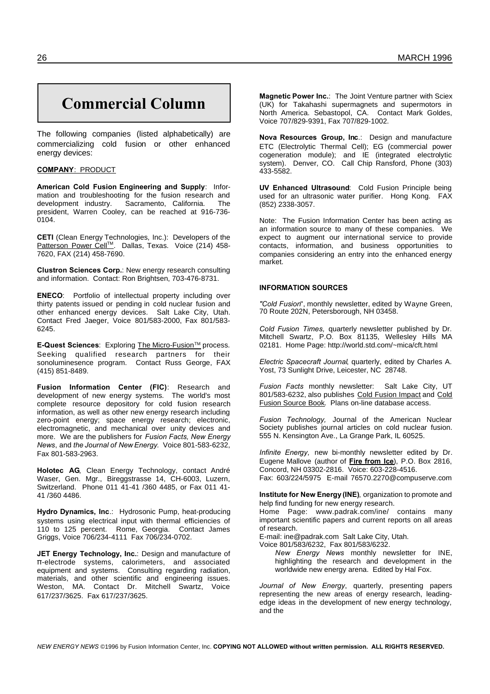## **Commercial Column**

The following companies (listed alphabetically) are commercializing cold fusion or other enhanced energy devices:

#### **COMPANY**: PRODUCT

**American Cold Fusion Engineering and Supply**: Information and troubleshooting for the fusion research and development industry. Sacramento, California. The Sacramento, California. The president, Warren Cooley, can be reached at 916-736-  $0104$ 

**CETI** (Clean Energy Technologies, Inc.): Developers of the Patterson Power Cell™. Dallas, Texas. Voice (214) 458-7620, FAX (214) 458-7690.

**Clustron Sciences Corp.**: New energy research consulting and information. Contact: Ron Brightsen, 703-476-8731.

**ENECO**: Portfolio of intellectual property including over thirty patents issued or pending in cold nuclear fusion and other enhanced energy devices. Salt Lake City, Utah. Contact Fred Jaeger, Voice 801/583-2000, Fax 801/583- 6245.

**E-Quest Sciences:** Exploring The Micro-Fusion<sup>™</sup> process. Seeking qualified research partners for their sonoluminesence program. Contact Russ George, FAX (415) 851-8489.

**Fusion Information Center (FIC)**: Research and development of new energy systems. The world's most complete resource depository for cold fusion research information, as well as other new energy research including zero-point energy; space energy research; electronic, electromagnetic, and mechanical over unity devices and more. We are the publishers for *Fusion Facts, New Energy News*, and *the Journal of New Energy.* Voice 801-583-6232, Fax 801-583-2963.

**Holotec AG**, Clean Energy Technology, contact André Waser, Gen. Mgr., Bireggstrasse 14, CH-6003, Luzern, Switzerland. Phone 011 41-41 /360 4485, or Fax 011 41- 41 /360 4486.

**Hydro Dynamics, Inc**.: Hydrosonic Pump, heat-producing systems using electrical input with thermal efficiencies of 110 to 125 percent. Rome, Georgia. Contact James Griggs, Voice 706/234-4111 Fax 706/234-0702.

**JET Energy Technology, Inc.**: Design and manufacture of -electrode systems, calorimeters, and associated equipment and systems. Consulting regarding radiation, materials, and other scientific and engineering issues. Weston, MA. Contact Dr. Mitchell Swartz, Voice 617/237/3625. Fax 617/237/3625.

**Magnetic Power Inc.**: The Joint Venture partner with Sciex (UK) for Takahashi supermagnets and supermotors in North America. Sebastopol, CA. Contact Mark Goldes, Voice 707/829-9391, Fax 707/829-1002.

**Nova Resources Group, Inc**.: Design and manufacture ETC (Electrolytic Thermal Cell); EG (commercial power cogeneration module); and IE (integrated electrolytic system). Denver, CO. Call Chip Ransford, Phone (303) 433-5582.

**UV Enhanced Ultrasound**: Cold Fusion Principle being used for an ultrasonic water purifier. Hong Kong. FAX (852) 2338-3057.

Note: The Fusion Information Center has been acting as an information source to many of these companies. We expect to augment our international service to provide contacts, information, and business opportunities to companies considering an entry into the enhanced energy market.

#### **INFORMATION SOURCES**

*"Cold Fusion*", monthly newsletter, edited by Wayne Green, 70 Route 202N, Petersborough, NH 03458.

*Cold Fusion Times,* quarterly newsletter published by Dr. Mitchell Swartz, P.O. Box 81135, Wellesley Hills MA 02181. Home Page: http://world.std.com/~mica/cft.html

*Electric Spacecraft Journal*, quarterly, edited by Charles A. Yost, 73 Sunlight Drive, Leicester, NC 28748.

*Fusion Facts* monthly newsletter: Salt Lake City, UT 801/583-6232, also publishes Cold Fusion Impact and Cold Fusion Source Book. Plans on-line database access.

*Fusion Technology,* Journal of the American Nuclear Society publishes journal articles on cold nuclear fusion. 555 N. Kensington Ave., La Grange Park, IL 60525.

*Infinite Energy,* new bi-monthly newsletter edited by Dr. Eugene Mallove (author of **Fire from Ice**), P.O. Box 2816, Concord, NH 03302-2816. Voice: 603-228-4516.

Fax: 603/224/5975 E-mail 76570.2270@compuserve.com

**Institute for New Energy (INE)**, organization to promote and help find funding for new energy research.

Home Page: www.padrak.com/ine/ contains many important scientific papers and current reports on all areas of research.

E-mail: ine@padrak.com Salt Lake City, Utah.

Voice 801/583/6232, Fax 801/583/6232.

*New Energy News* monthly newsletter for INE, highlighting the research and development in the worldwide new energy arena. Edited by Hal Fox.

*Journal of New Energy*, quarterly, presenting papers representing the new areas of energy research, leadingedge ideas in the development of new energy technology, and the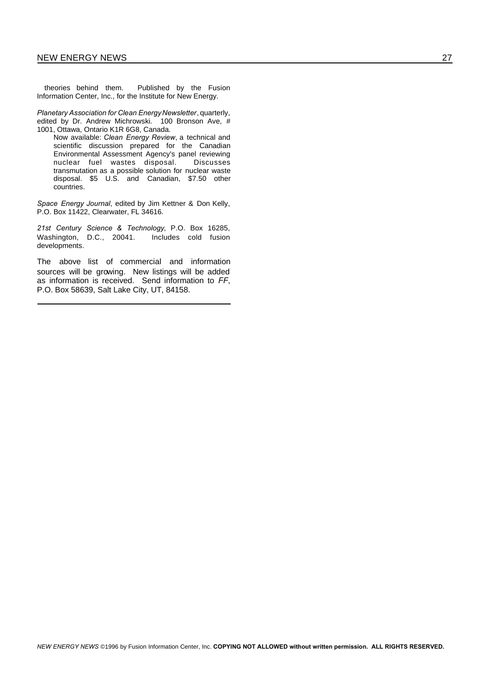theories behind them. Published by the Fusion Information Center, Inc., for the Institute for New Energy.

*Planetary Association for Clean EnergyNewsletter*, quarterly, edited by Dr. Andrew Michrowski. 100 Bronson Ave, # 1001, Ottawa, Ontario K1R 6G8, Canada.

Now available: *Clean Energy Review*, a technical and scientific discussion prepared for the Canadian Environmental Assessment Agency's panel reviewing nuclear fuel wastes disposal. Discusses transmutation as a possible solution for nuclear waste disposal. \$5 U.S. and Canadian, \$7.50 other countries.

*Space Energy Journal*, edited by Jim Kettner & Don Kelly, P.O. Box 11422, Clearwater, FL 34616.

*21st Century Science & Technology*, P.O. Box 16285, Washington, D.C., 20041. developments.

The above list of commercial and information sources will be growing. New listings will be added as information is received. Send information to *FF*, P.O. Box 58639, Salt Lake City, UT, 84158.